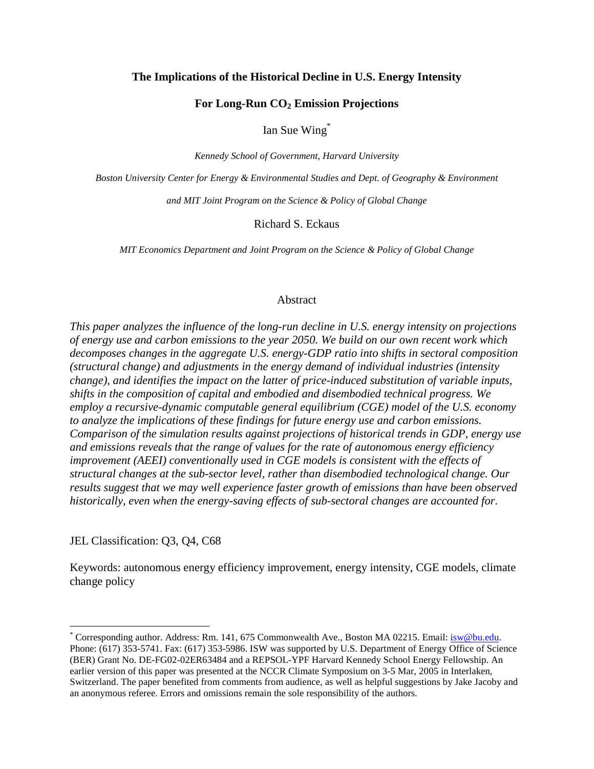#### **The Implications of the Historical Decline in U.S. Energy Intensity**

# **For Long-Run CO2 Emission Projections**

Ian Sue Wing\*

*Kennedy School of Government, Harvard University* 

*Boston University Center for Energy & Environmental Studies and Dept. of Geography & Environment* 

*and MIT Joint Program on the Science & Policy of Global Change* 

Richard S. Eckaus

*MIT Economics Department and Joint Program on the Science & Policy of Global Change* 

# Abstract

*This paper analyzes the influence of the long-run decline in U.S. energy intensity on projections of energy use and carbon emissions to the year 2050. We build on our own recent work which decomposes changes in the aggregate U.S. energy-GDP ratio into shifts in sectoral composition (structural change) and adjustments in the energy demand of individual industries (intensity change), and identifies the impact on the latter of price-induced substitution of variable inputs, shifts in the composition of capital and embodied and disembodied technical progress. We employ a recursive-dynamic computable general equilibrium (CGE) model of the U.S. economy to analyze the implications of these findings for future energy use and carbon emissions. Comparison of the simulation results against projections of historical trends in GDP, energy use and emissions reveals that the range of values for the rate of autonomous energy efficiency improvement (AEEI) conventionally used in CGE models is consistent with the effects of structural changes at the sub-sector level, rather than disembodied technological change. Our results suggest that we may well experience faster growth of emissions than have been observed historically, even when the energy-saving effects of sub-sectoral changes are accounted for.* 

JEL Classification: Q3, Q4, C68

 $\overline{a}$ 

Keywords: autonomous energy efficiency improvement, energy intensity, CGE models, climate change policy

<sup>\*</sup> Corresponding author. Address: Rm. 141, 675 Commonwealth Ave., Boston MA 02215. Email: isw@bu.edu. Phone: (617) 353-5741. Fax: (617) 353-5986. ISW was supported by U.S. Department of Energy Office of Science (BER) Grant No. DE-FG02-02ER63484 and a REPSOL-YPF Harvard Kennedy School Energy Fellowship. An earlier version of this paper was presented at the NCCR Climate Symposium on 3-5 Mar, 2005 in Interlaken, Switzerland. The paper benefited from comments from audience, as well as helpful suggestions by Jake Jacoby and an anonymous referee. Errors and omissions remain the sole responsibility of the authors.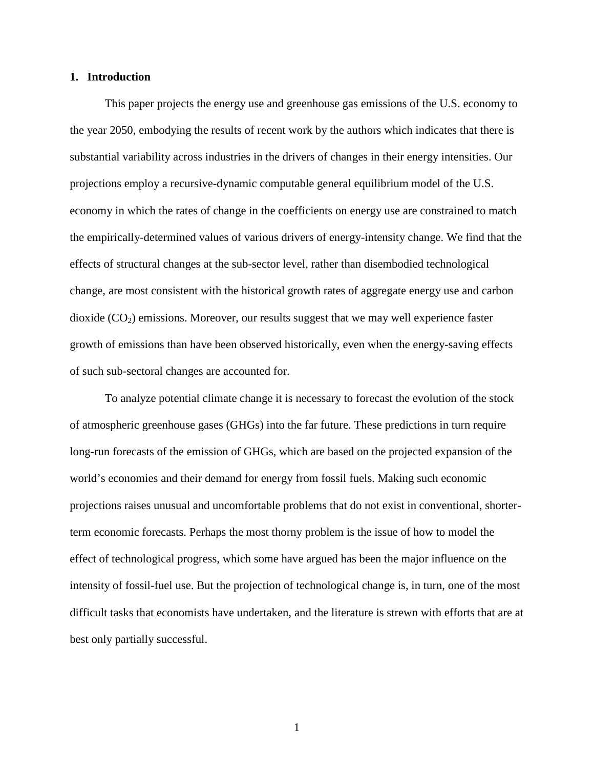#### **1. Introduction**

This paper projects the energy use and greenhouse gas emissions of the U.S. economy to the year 2050, embodying the results of recent work by the authors which indicates that there is substantial variability across industries in the drivers of changes in their energy intensities. Our projections employ a recursive-dynamic computable general equilibrium model of the U.S. economy in which the rates of change in the coefficients on energy use are constrained to match the empirically-determined values of various drivers of energy-intensity change. We find that the effects of structural changes at the sub-sector level, rather than disembodied technological change, are most consistent with the historical growth rates of aggregate energy use and carbon dioxide  $(CO<sub>2</sub>)$  emissions. Moreover, our results suggest that we may well experience faster growth of emissions than have been observed historically, even when the energy-saving effects of such sub-sectoral changes are accounted for.

To analyze potential climate change it is necessary to forecast the evolution of the stock of atmospheric greenhouse gases (GHGs) into the far future. These predictions in turn require long-run forecasts of the emission of GHGs, which are based on the projected expansion of the world's economies and their demand for energy from fossil fuels. Making such economic projections raises unusual and uncomfortable problems that do not exist in conventional, shorterterm economic forecasts. Perhaps the most thorny problem is the issue of how to model the effect of technological progress, which some have argued has been the major influence on the intensity of fossil-fuel use. But the projection of technological change is, in turn, one of the most difficult tasks that economists have undertaken, and the literature is strewn with efforts that are at best only partially successful.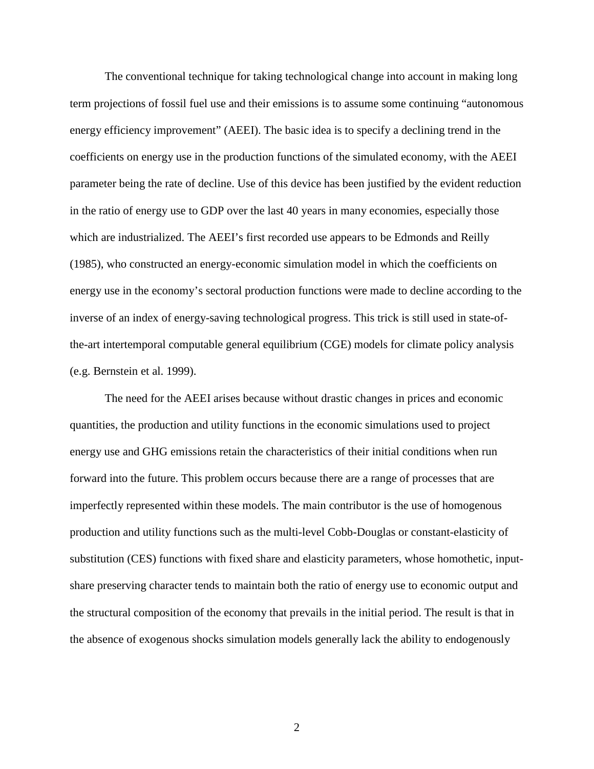The conventional technique for taking technological change into account in making long term projections of fossil fuel use and their emissions is to assume some continuing "autonomous energy efficiency improvement" (AEEI). The basic idea is to specify a declining trend in the coefficients on energy use in the production functions of the simulated economy, with the AEEI parameter being the rate of decline. Use of this device has been justified by the evident reduction in the ratio of energy use to GDP over the last 40 years in many economies, especially those which are industrialized. The AEEI's first recorded use appears to be Edmonds and Reilly (1985), who constructed an energy-economic simulation model in which the coefficients on energy use in the economy's sectoral production functions were made to decline according to the inverse of an index of energy-saving technological progress. This trick is still used in state-ofthe-art intertemporal computable general equilibrium (CGE) models for climate policy analysis (e.g. Bernstein et al. 1999).

The need for the AEEI arises because without drastic changes in prices and economic quantities, the production and utility functions in the economic simulations used to project energy use and GHG emissions retain the characteristics of their initial conditions when run forward into the future. This problem occurs because there are a range of processes that are imperfectly represented within these models. The main contributor is the use of homogenous production and utility functions such as the multi-level Cobb-Douglas or constant-elasticity of substitution (CES) functions with fixed share and elasticity parameters, whose homothetic, inputshare preserving character tends to maintain both the ratio of energy use to economic output and the structural composition of the economy that prevails in the initial period. The result is that in the absence of exogenous shocks simulation models generally lack the ability to endogenously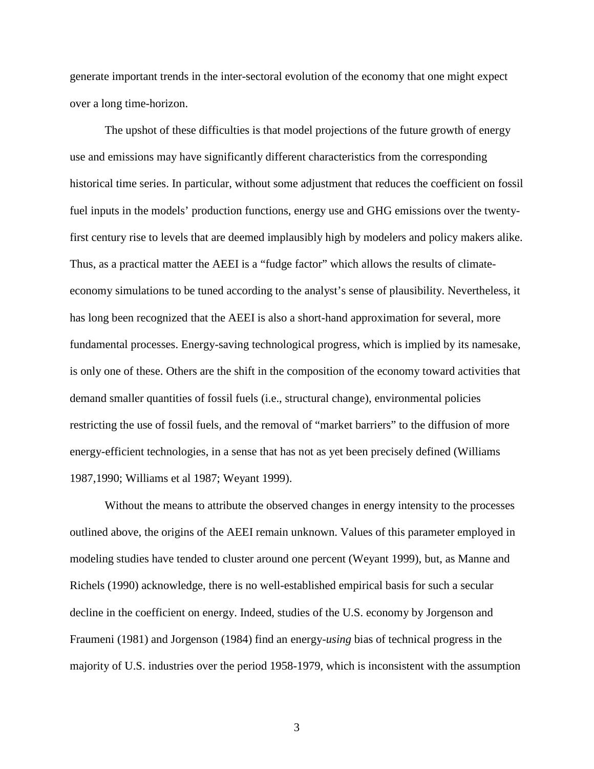generate important trends in the inter-sectoral evolution of the economy that one might expect over a long time-horizon.

The upshot of these difficulties is that model projections of the future growth of energy use and emissions may have significantly different characteristics from the corresponding historical time series. In particular, without some adjustment that reduces the coefficient on fossil fuel inputs in the models' production functions, energy use and GHG emissions over the twentyfirst century rise to levels that are deemed implausibly high by modelers and policy makers alike. Thus, as a practical matter the AEEI is a "fudge factor" which allows the results of climateeconomy simulations to be tuned according to the analyst's sense of plausibility. Nevertheless, it has long been recognized that the AEEI is also a short-hand approximation for several, more fundamental processes. Energy-saving technological progress, which is implied by its namesake, is only one of these. Others are the shift in the composition of the economy toward activities that demand smaller quantities of fossil fuels (i.e., structural change), environmental policies restricting the use of fossil fuels, and the removal of "market barriers" to the diffusion of more energy-efficient technologies, in a sense that has not as yet been precisely defined (Williams 1987,1990; Williams et al 1987; Weyant 1999).

Without the means to attribute the observed changes in energy intensity to the processes outlined above, the origins of the AEEI remain unknown. Values of this parameter employed in modeling studies have tended to cluster around one percent (Weyant 1999), but, as Manne and Richels (1990) acknowledge, there is no well-established empirical basis for such a secular decline in the coefficient on energy. Indeed, studies of the U.S. economy by Jorgenson and Fraumeni (1981) and Jorgenson (1984) find an energy-*using* bias of technical progress in the majority of U.S. industries over the period 1958-1979, which is inconsistent with the assumption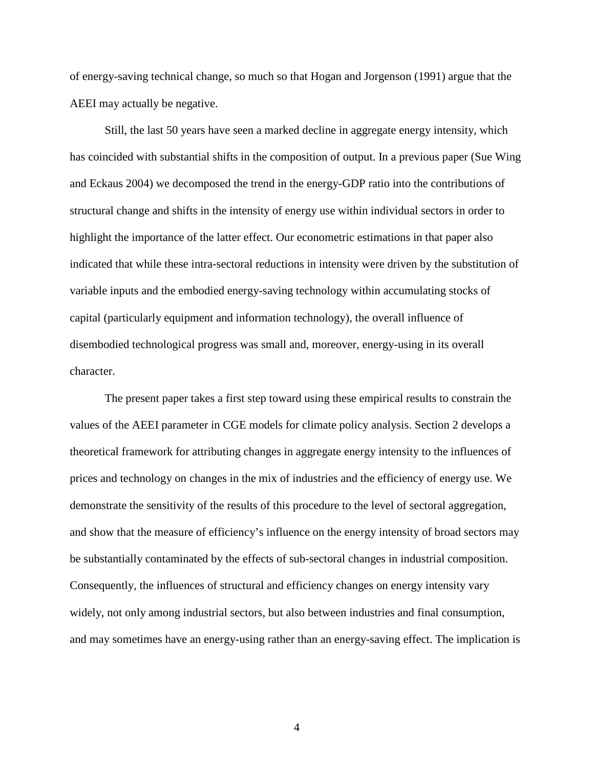of energy-saving technical change, so much so that Hogan and Jorgenson (1991) argue that the AEEI may actually be negative.

Still, the last 50 years have seen a marked decline in aggregate energy intensity, which has coincided with substantial shifts in the composition of output. In a previous paper (Sue Wing and Eckaus 2004) we decomposed the trend in the energy-GDP ratio into the contributions of structural change and shifts in the intensity of energy use within individual sectors in order to highlight the importance of the latter effect. Our econometric estimations in that paper also indicated that while these intra-sectoral reductions in intensity were driven by the substitution of variable inputs and the embodied energy-saving technology within accumulating stocks of capital (particularly equipment and information technology), the overall influence of disembodied technological progress was small and, moreover, energy-using in its overall character.

The present paper takes a first step toward using these empirical results to constrain the values of the AEEI parameter in CGE models for climate policy analysis. Section 2 develops a theoretical framework for attributing changes in aggregate energy intensity to the influences of prices and technology on changes in the mix of industries and the efficiency of energy use. We demonstrate the sensitivity of the results of this procedure to the level of sectoral aggregation, and show that the measure of efficiency's influence on the energy intensity of broad sectors may be substantially contaminated by the effects of sub-sectoral changes in industrial composition. Consequently, the influences of structural and efficiency changes on energy intensity vary widely, not only among industrial sectors, but also between industries and final consumption, and may sometimes have an energy-using rather than an energy-saving effect. The implication is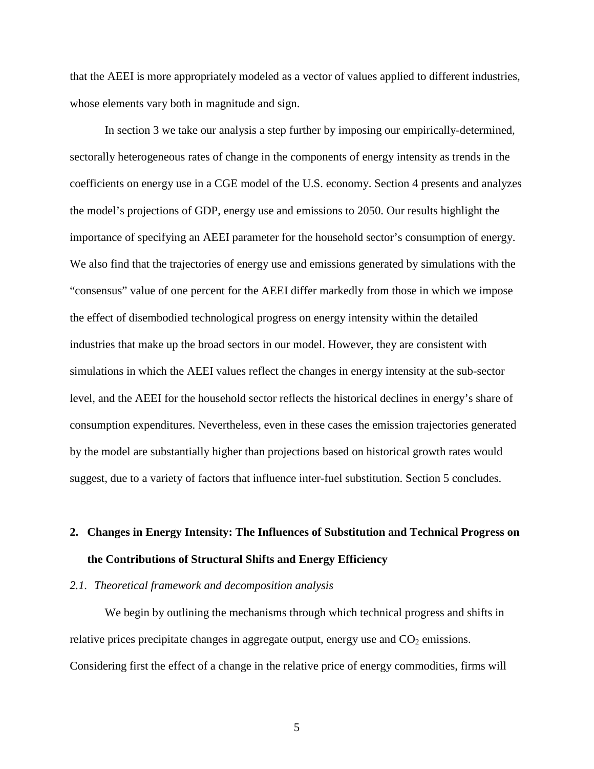that the AEEI is more appropriately modeled as a vector of values applied to different industries, whose elements vary both in magnitude and sign.

In section 3 we take our analysis a step further by imposing our empirically-determined, sectorally heterogeneous rates of change in the components of energy intensity as trends in the coefficients on energy use in a CGE model of the U.S. economy. Section 4 presents and analyzes the model's projections of GDP, energy use and emissions to 2050. Our results highlight the importance of specifying an AEEI parameter for the household sector's consumption of energy. We also find that the trajectories of energy use and emissions generated by simulations with the "consensus" value of one percent for the AEEI differ markedly from those in which we impose the effect of disembodied technological progress on energy intensity within the detailed industries that make up the broad sectors in our model. However, they are consistent with simulations in which the AEEI values reflect the changes in energy intensity at the sub-sector level, and the AEEI for the household sector reflects the historical declines in energy's share of consumption expenditures. Nevertheless, even in these cases the emission trajectories generated by the model are substantially higher than projections based on historical growth rates would suggest, due to a variety of factors that influence inter-fuel substitution. Section 5 concludes.

# **2. Changes in Energy Intensity: The Influences of Substitution and Technical Progress on the Contributions of Structural Shifts and Energy Efficiency**

#### *2.1. Theoretical framework and decomposition analysis*

We begin by outlining the mechanisms through which technical progress and shifts in relative prices precipitate changes in aggregate output, energy use and  $CO<sub>2</sub>$  emissions. Considering first the effect of a change in the relative price of energy commodities, firms will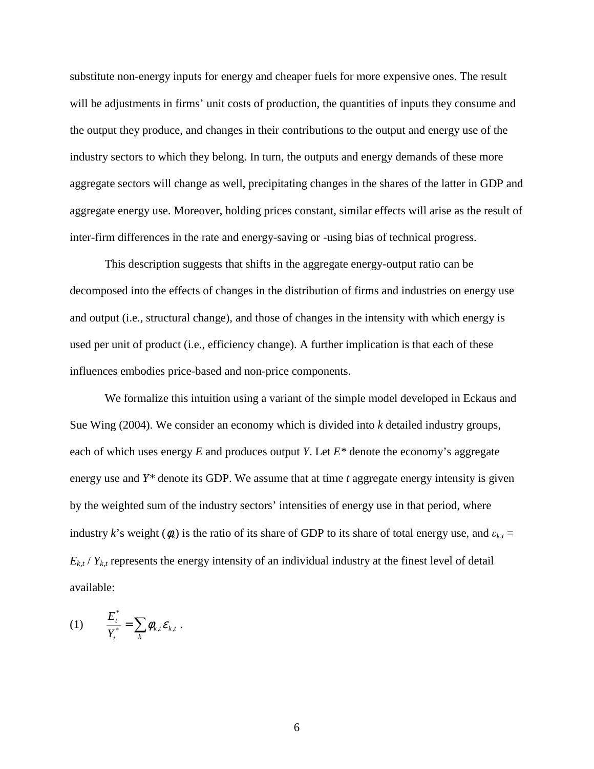substitute non-energy inputs for energy and cheaper fuels for more expensive ones. The result will be adjustments in firms' unit costs of production, the quantities of inputs they consume and the output they produce, and changes in their contributions to the output and energy use of the industry sectors to which they belong. In turn, the outputs and energy demands of these more aggregate sectors will change as well, precipitating changes in the shares of the latter in GDP and aggregate energy use. Moreover, holding prices constant, similar effects will arise as the result of inter-firm differences in the rate and energy-saving or -using bias of technical progress.

This description suggests that shifts in the aggregate energy-output ratio can be decomposed into the effects of changes in the distribution of firms and industries on energy use and output (i.e., structural change), and those of changes in the intensity with which energy is used per unit of product (i.e., efficiency change). A further implication is that each of these influences embodies price-based and non-price components.

We formalize this intuition using a variant of the simple model developed in Eckaus and Sue Wing (2004). We consider an economy which is divided into *k* detailed industry groups, each of which uses energy *E* and produces output *Y*. Let *E\** denote the economy's aggregate energy use and *Y\** denote its GDP. We assume that at time *t* aggregate energy intensity is given by the weighted sum of the industry sectors' intensities of energy use in that period, where industry k's weight  $(\phi_k)$  is the ratio of its share of GDP to its share of total energy use, and  $\varepsilon_{k,t}$  =  $E_{kt}$  /  $Y_{kt}$  represents the energy intensity of an individual industry at the finest level of detail available:

$$
(1) \qquad \frac{E_t^*}{Y_t^*} = \sum_k \phi_{k,t} \varepsilon_{k,t} \; .
$$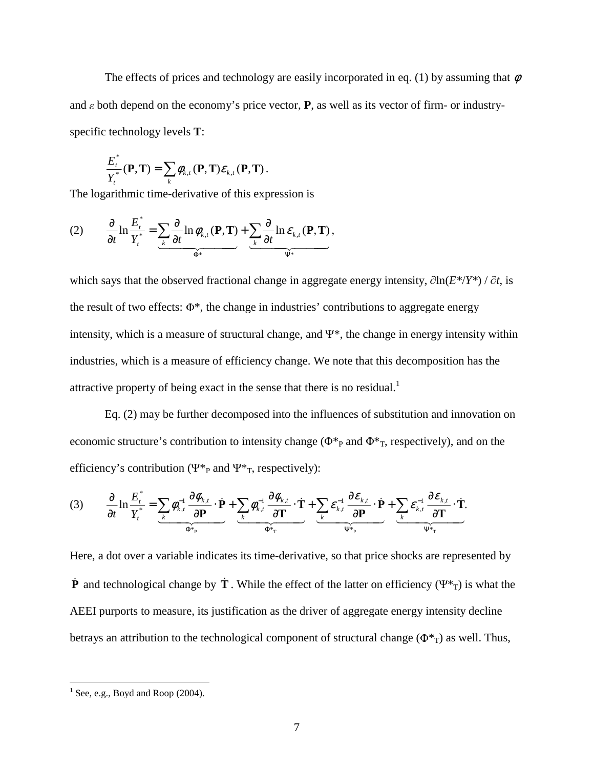The effects of prices and technology are easily incorporated in eq. (1) by assuming that  $\phi$ and  $\varepsilon$  both depend on the economy's price vector, **P**, as well as its vector of firm- or industryspecific technology levels **T**:

$$
\frac{E_t^*}{Y_t^*}(\mathbf{P}, \mathbf{T}) = \sum_k \phi_{k,t}(\mathbf{P}, \mathbf{T}) \varepsilon_{k,t}(\mathbf{P}, \mathbf{T}).
$$

The logarithmic time-derivative of this expression is

(2) 
$$
\frac{\partial}{\partial t} \ln \frac{E_t^*}{Y_t^*} = \underbrace{\sum_k \frac{\partial}{\partial t} \ln \phi_{k,t}(\mathbf{P}, \mathbf{T})}_{\Phi^*} + \underbrace{\sum_k \frac{\partial}{\partial t} \ln \varepsilon_{k,t}(\mathbf{P}, \mathbf{T})}_{\Psi^*},
$$

which says that the observed fractional change in aggregate energy intensity, <sup>∂</sup> ln(*E\**/*Y\**) / <sup>∂</sup> *t*, is the result of two effects:  $\Phi^*$ , the change in industries' contributions to aggregate energy intensity, which is a measure of structural change, and  $\Psi^*$ , the change in energy intensity within industries, which is a measure of efficiency change. We note that this decomposition has the attractive property of being exact in the sense that there is no residual.<sup>1</sup>

Eq. (2) may be further decomposed into the influences of substitution and innovation on economic structure's contribution to intensity change ( $\Phi^*$ <sub>P</sub> and  $\Phi^*$ <sub>T</sub>, respectively), and on the efficiency's contribution ( $\Psi^*_{P}$  and  $\Psi^*_{T}$ , respectively):

(3) 
$$
\frac{\partial}{\partial t} \ln \frac{E_t^*}{Y_t^*} = \underbrace{\sum_k \phi_{k,t}^{-1} \frac{\partial \phi_{k,t}}{\partial \mathbf{P}} \cdot \dot{\mathbf{P}}}_{\Phi^*_{\mathbf{P}}} + \underbrace{\sum_k \phi_{k,t}^{-1} \frac{\partial \phi_{k,t}}{\partial \mathbf{T}} \cdot \dot{\mathbf{T}}}_{\Phi^*_{\mathbf{T}}} + \underbrace{\sum_k \varepsilon_{k,t}^{-1} \frac{\partial \varepsilon_{k,t}}{\partial \mathbf{P}} \cdot \dot{\mathbf{P}}}_{\Psi^*_{\mathbf{P}}} + \underbrace{\sum_k \varepsilon_{k,t}^{-1} \frac{\partial \varepsilon_{k,t}}{\partial \mathbf{T}} \cdot \dot{\mathbf{T}}}_{\Psi^*_{\mathbf{T}}}.
$$

Here, a dot over a variable indicates its time-derivative, so that price shocks are represented by **P** and technological change by  $\dot{T}$ . While the effect of the latter on efficiency (Ψ<sup>\*</sup><sub>T</sub>) is what the AEEI purports to measure, its justification as the driver of aggregate energy intensity decline betrays an attribution to the technological component of structural change ( $\Phi^*$ <sub>T</sub>) as well. Thus,

 $<sup>1</sup>$  See, e.g., Boyd and Roop (2004).</sup>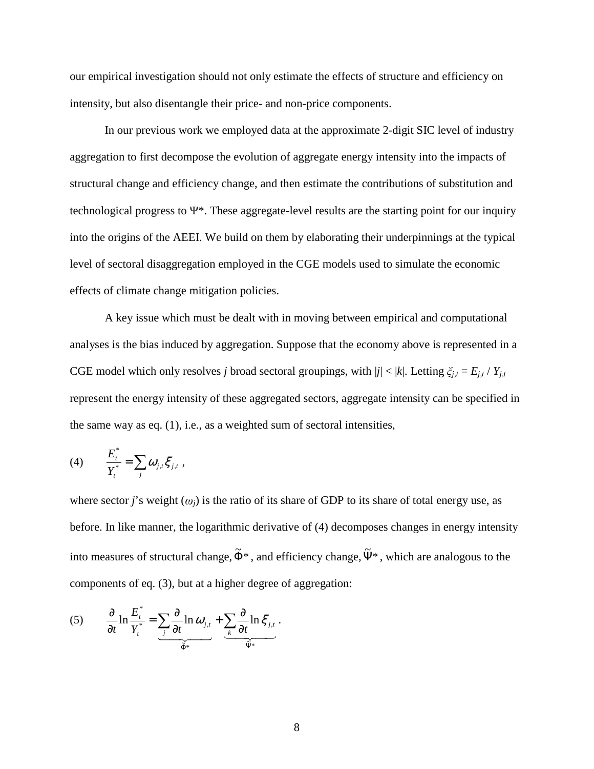our empirical investigation should not only estimate the effects of structure and efficiency on intensity, but also disentangle their price- and non-price components.

In our previous work we employed data at the approximate 2-digit SIC level of industry aggregation to first decompose the evolution of aggregate energy intensity into the impacts of structural change and efficiency change, and then estimate the contributions of substitution and technological progress to Ψ\*. These aggregate-level results are the starting point for our inquiry into the origins of the AEEI. We build on them by elaborating their underpinnings at the typical level of sectoral disaggregation employed in the CGE models used to simulate the economic effects of climate change mitigation policies.

A key issue which must be dealt with in moving between empirical and computational analyses is the bias induced by aggregation. Suppose that the economy above is represented in a CGE model which only resolves *j* broad sectoral groupings, with  $|j| < |k|$ . Letting  $\xi_{j,t} = E_{j,t} / Y_{j,t}$ represent the energy intensity of these aggregated sectors, aggregate intensity can be specified in the same way as eq. (1), i.e., as a weighted sum of sectoral intensities,

(4) 
$$
\frac{E_t^*}{Y_t^*} = \sum_j \omega_{j,t} \xi_{j,t} ,
$$

where sector *j*'s weight  $(\omega_i)$  is the ratio of its share of GDP to its share of total energy use, as before. In like manner, the logarithmic derivative of (4) decomposes changes in energy intensity into measures of structural change,  $\tilde{\Phi}^*$ , and efficiency change,  $\tilde{\Psi}^*$ , which are analogous to the components of eq. (3), but at a higher degree of aggregation:

(5) 
$$
\frac{\partial}{\partial t} \ln \frac{E_t^*}{Y_t^*} = \underbrace{\sum_j \frac{\partial}{\partial t} \ln \omega_{j,t}}_{\widetilde{\Phi}^*} + \underbrace{\sum_k \frac{\partial}{\partial t} \ln \xi_{j,t}}_{\widetilde{\Psi}^*}.
$$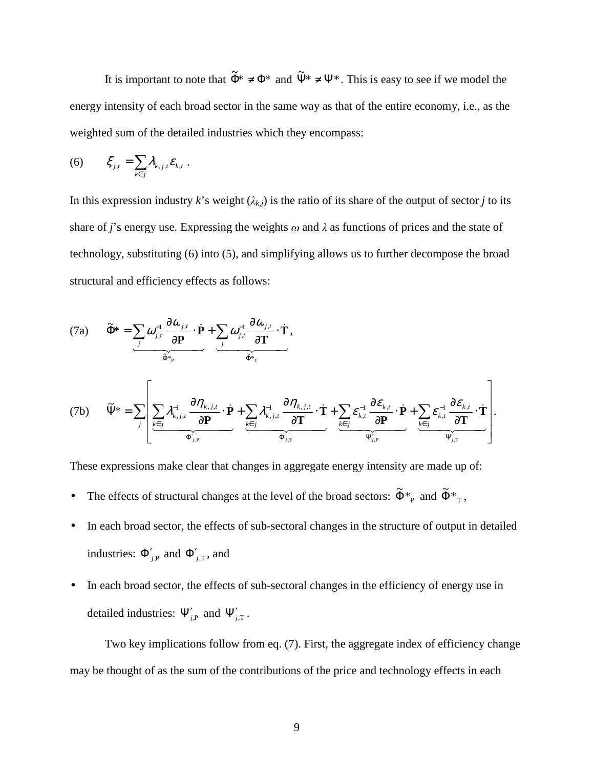It is important to note that  $\tilde{\Phi}^* \neq \Phi^*$  and  $\tilde{\Psi}^* \neq \Psi^*$ . This is easy to see if we model the energy intensity of each broad sector in the same way as that of the entire economy, i.e., as the weighted sum of the detailed industries which they encompass:

(6) 
$$
\xi_{j,t} = \sum_{k \in j} \lambda_{k,j,t} \varepsilon_{k,t}.
$$

In this expression industry *k*'s weight  $(\lambda_{k,j})$  is the ratio of its share of the output of sector *j* to its share of *j*'s energy use. Expressing the weights  $\omega$  and  $\lambda$  as functions of prices and the state of technology, substituting (6) into (5), and simplifying allows us to further decompose the broad structural and efficiency effects as follows:

(7a) 
$$
\widetilde{\Phi}^* = \underbrace{\sum_{j} \omega_{j,t}^{-1} \frac{\partial \omega_{j,t}}{\partial \mathbf{P}} \cdot \dot{\mathbf{P}}}_{\widetilde{\Phi}^*_{p}} + \underbrace{\sum_{j} \omega_{j,t}^{-1} \frac{\partial \omega_{j,t}}{\partial \mathbf{T}} \cdot \dot{\mathbf{T}}}_{\widetilde{\Phi}^*_{p}},
$$
\n(7b) 
$$
\widetilde{\Psi}^* = \sum_{j} \left[ \underbrace{\sum_{k \in j} \lambda_{k,j,t}^{-1} \frac{\partial \eta_{k,j,t}}{\partial \mathbf{P}} \cdot \dot{\mathbf{P}}}_{\Phi_{j,p}} + \underbrace{\sum_{k \in j} \lambda_{k,j,t}^{-1} \frac{\partial \eta_{k,j,t}}{\partial \mathbf{T}} \cdot \dot{\mathbf{T}}}_{\Phi_{j,r}^*} + \underbrace{\sum_{k \in j} \varepsilon_{k,t}^{-1} \frac{\partial \varepsilon_{k,t}}{\partial \mathbf{P}} \cdot \dot{\mathbf{P}}}_{\Psi_{j,p}^*} + \underbrace{\sum_{k \in j} \varepsilon_{k,t}^{-1} \frac{\partial \varepsilon_{k,t}}{\partial \mathbf{T}} \cdot \dot{\mathbf{T}}}_{\Psi_{j,r}^*} \right].
$$

These expressions make clear that changes in aggregate energy intensity are made up of:

- The effects of structural changes at the level of the broad sectors:  $\tilde{\Phi}^*_{P}$  and  $\tilde{\Phi}^*_{T}$ ,
- In each broad sector, the effects of sub-sectoral changes in the structure of output in detailed industries:  $\Phi'_{j,P}$  and  $\Phi'_{j,T}$ , and
- In each broad sector, the effects of sub-sectoral changes in the efficiency of energy use in detailed industries:  $\Psi'_{j,P}$  and  $\Psi'_{j,T}$ .

Two key implications follow from eq. (7). First, the aggregate index of efficiency change may be thought of as the sum of the contributions of the price and technology effects in each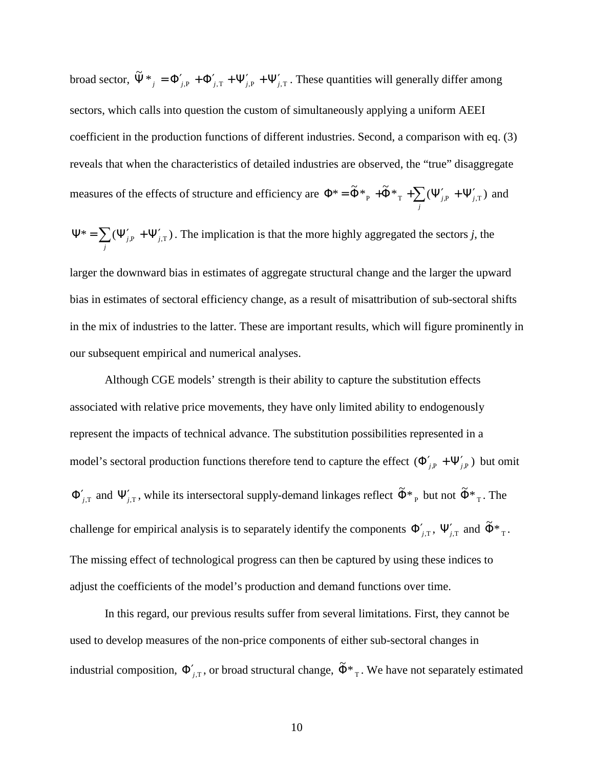broad sector,  $\tilde{\Psi}^*_{j} = \Phi'_{j,P} + \Phi'_{j,T} + \Psi'_{j,P} + \Psi'_{j,T}$ . These quantities will generally differ among sectors, which calls into question the custom of simultaneously applying a uniform AEEI coefficient in the production functions of different industries. Second, a comparison with eq. (3) reveals that when the characteristics of detailed industries are observed, the "true" disaggregate measures of the effects of structure and efficiency are  $\Phi^* = \tilde{\Phi}^*_{P} + \tilde{\Phi}^*_{T} + \sum_{j} (\Psi'_{j,P} + \Psi'_{j,j})$ *j* \* =  $\tilde{\Phi}$ \*<sub>P</sub> +  $\tilde{\Phi}$ \*<sub>T</sub> +  $\sum (\Psi'_{j,P} + \Psi'_{j,T})$  and

$$
\Psi^* = \sum_j (\Psi'_{j,P} + \Psi'_{j,T}).
$$
 The implication is that the more highly aggregated the sectors *j*, the

larger the downward bias in estimates of aggregate structural change and the larger the upward bias in estimates of sectoral efficiency change, as a result of misattribution of sub-sectoral shifts in the mix of industries to the latter. These are important results, which will figure prominently in our subsequent empirical and numerical analyses.

Although CGE models' strength is their ability to capture the substitution effects associated with relative price movements, they have only limited ability to endogenously represent the impacts of technical advance. The substitution possibilities represented in a model's sectoral production functions therefore tend to capture the effect  $(\Phi'_{j,P} + \Psi'_{j,P})$  but omit  $\Phi'_{j,T}$  and  $\Psi'_{j,T}$ , while its intersectoral supply-demand linkages reflect  $\tilde{\Phi}^*_{P}$  but not  $\tilde{\Phi}^*_{T}$ . The challenge for empirical analysis is to separately identify the components  $\Phi'_{j,T}$ ,  $\Psi'_{j,T}$  and  $\tilde{\Phi}^*_{T}$ . The missing effect of technological progress can then be captured by using these indices to adjust the coefficients of the model's production and demand functions over time.

In this regard, our previous results suffer from several limitations. First, they cannot be used to develop measures of the non-price components of either sub-sectoral changes in industrial composition,  $\Phi'_{j,T}$ , or broad structural change,  $\tilde{\Phi}^*_{T}$ . We have not separately estimated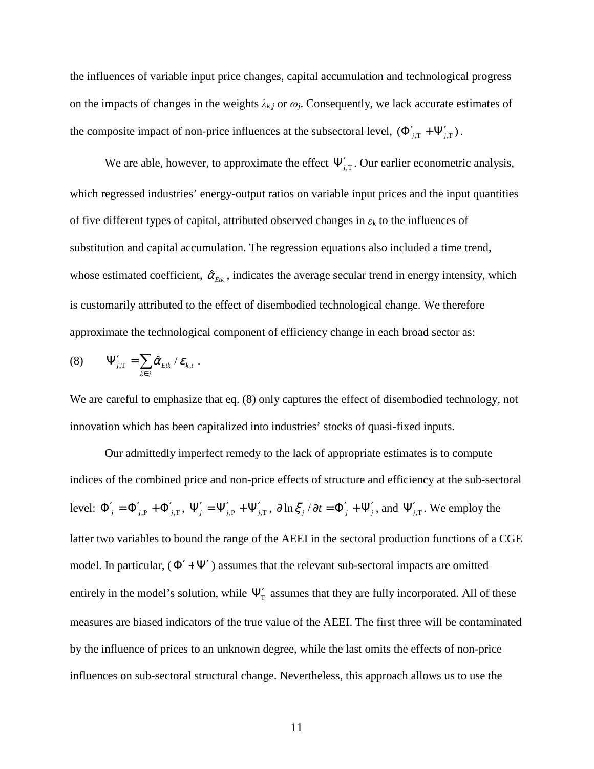the influences of variable input price changes, capital accumulation and technological progress on the impacts of changes in the weights  $\lambda_{k,j}$  or  $\omega_j$ . Consequently, we lack accurate estimates of the composite impact of non-price influences at the subsectoral level,  $(\Phi'_{j,T} + \Psi'_{j,T})$ .

We are able, however, to approximate the effect  $\Psi'_{j,T}$ . Our earlier econometric analysis, which regressed industries' energy-output ratios on variable input prices and the input quantities of five different types of capital, attributed observed changes in ε*<sup>k</sup>* to the influences of substitution and capital accumulation. The regression equations also included a time trend, whose estimated coefficient,  $\hat{\alpha}_{Etk}$ , indicates the average secular trend in energy intensity, which is customarily attributed to the effect of disembodied technological change. We therefore approximate the technological component of efficiency change in each broad sector as:

$$
(8) \qquad \Psi'_{j,T} = \sum_{k \in j} \hat{\alpha}_{Eik} / \varepsilon_{k,t} .
$$

We are careful to emphasize that eq. (8) only captures the effect of disembodied technology, not innovation which has been capitalized into industries' stocks of quasi-fixed inputs.

Our admittedly imperfect remedy to the lack of appropriate estimates is to compute indices of the combined price and non-price effects of structure and efficiency at the sub-sectoral level:  $\Phi'_{j} = \Phi'_{j,P} + \Phi'_{j,T}$ ,  $\Psi'_{j} = \Psi'_{j,P} + \Psi'_{j,T}$ ,  $\partial \ln \xi_{j}/\partial t = \Phi'_{j} + \Psi'_{j}$ , and  $\Psi'_{j,T}$ . We employ the latter two variables to bound the range of the AEEI in the sectoral production functions of a CGE model. In particular,  $(\Phi' + \Psi')$  assumes that the relevant sub-sectoral impacts are omitted entirely in the model's solution, while  $\Psi'_{\tau}$  assumes that they are fully incorporated. All of these measures are biased indicators of the true value of the AEEI. The first three will be contaminated by the influence of prices to an unknown degree, while the last omits the effects of non-price influences on sub-sectoral structural change. Nevertheless, this approach allows us to use the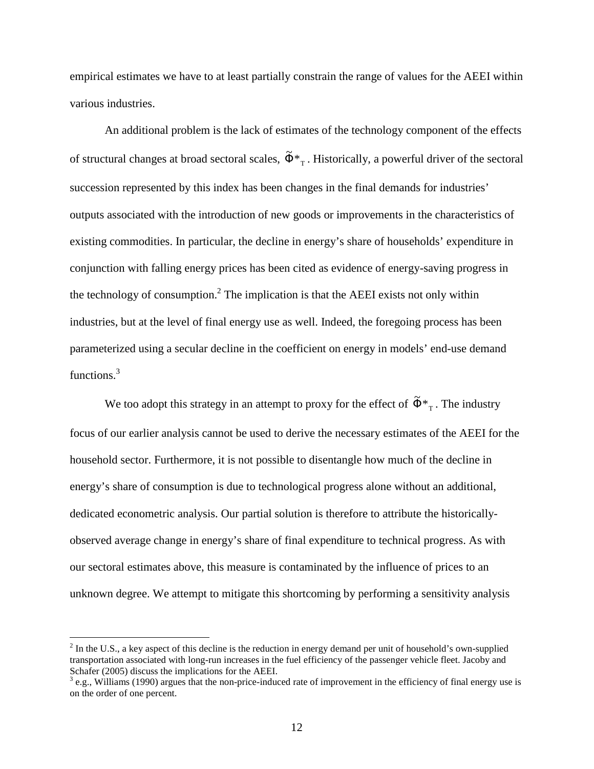empirical estimates we have to at least partially constrain the range of values for the AEEI within various industries.

An additional problem is the lack of estimates of the technology component of the effects of structural changes at broad sectoral scales,  $\tilde{\Phi}^*$ <sub>T</sub>. Historically, a powerful driver of the sectoral succession represented by this index has been changes in the final demands for industries' outputs associated with the introduction of new goods or improvements in the characteristics of existing commodities. In particular, the decline in energy's share of households' expenditure in conjunction with falling energy prices has been cited as evidence of energy-saving progress in the technology of consumption.<sup>2</sup> The implication is that the AEEI exists not only within industries, but at the level of final energy use as well. Indeed, the foregoing process has been parameterized using a secular decline in the coefficient on energy in models' end-use demand functions.<sup>3</sup>

We too adopt this strategy in an attempt to proxy for the effect of  $\tilde{\Phi}^*_{T}$ . The industry focus of our earlier analysis cannot be used to derive the necessary estimates of the AEEI for the household sector. Furthermore, it is not possible to disentangle how much of the decline in energy's share of consumption is due to technological progress alone without an additional, dedicated econometric analysis. Our partial solution is therefore to attribute the historicallyobserved average change in energy's share of final expenditure to technical progress. As with our sectoral estimates above, this measure is contaminated by the influence of prices to an unknown degree. We attempt to mitigate this shortcoming by performing a sensitivity analysis

 $2^{2}$  In the U.S., a key aspect of this decline is the reduction in energy demand per unit of household's own-supplied transportation associated with long-run increases in the fuel efficiency of the passenger vehicle fleet. Jacoby and Schafer (2005) discuss the implications for the AEEI.<br><sup>3</sup> e.g., Williams (1990) argues that the non-price-induced rate of improvement in the efficiency of final energy use is

on the order of one percent.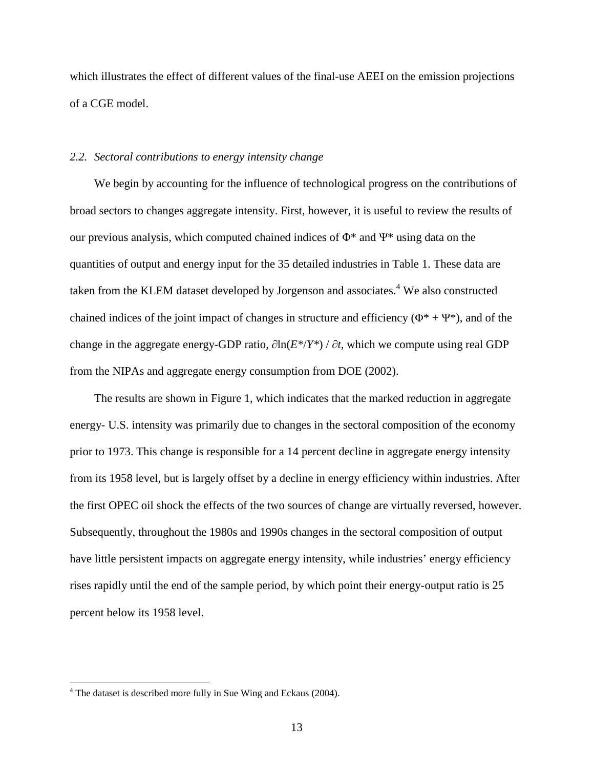which illustrates the effect of different values of the final-use AEEI on the emission projections of a CGE model.

#### *2.2. Sectoral contributions to energy intensity change*

We begin by accounting for the influence of technological progress on the contributions of broad sectors to changes aggregate intensity. First, however, it is useful to review the results of our previous analysis, which computed chained indices of  $\Phi^*$  and  $\Psi^*$  using data on the quantities of output and energy input for the 35 detailed industries in Table 1. These data are taken from the KLEM dataset developed by Jorgenson and associates.<sup>4</sup> We also constructed chained indices of the joint impact of changes in structure and efficiency ( $\Phi^* + \Psi^*$ ), and of the change in the aggregate energy-GDP ratio, ∂ln(*E\**/*Y\**) / ∂*t*, which we compute using real GDP from the NIPAs and aggregate energy consumption from DOE (2002).

The results are shown in Figure 1, which indicates that the marked reduction in aggregate energy- U.S. intensity was primarily due to changes in the sectoral composition of the economy prior to 1973. This change is responsible for a 14 percent decline in aggregate energy intensity from its 1958 level, but is largely offset by a decline in energy efficiency within industries. After the first OPEC oil shock the effects of the two sources of change are virtually reversed, however. Subsequently, throughout the 1980s and 1990s changes in the sectoral composition of output have little persistent impacts on aggregate energy intensity, while industries' energy efficiency rises rapidly until the end of the sample period, by which point their energy-output ratio is 25 percent below its 1958 level.

 $4$  The dataset is described more fully in Sue Wing and Eckaus (2004).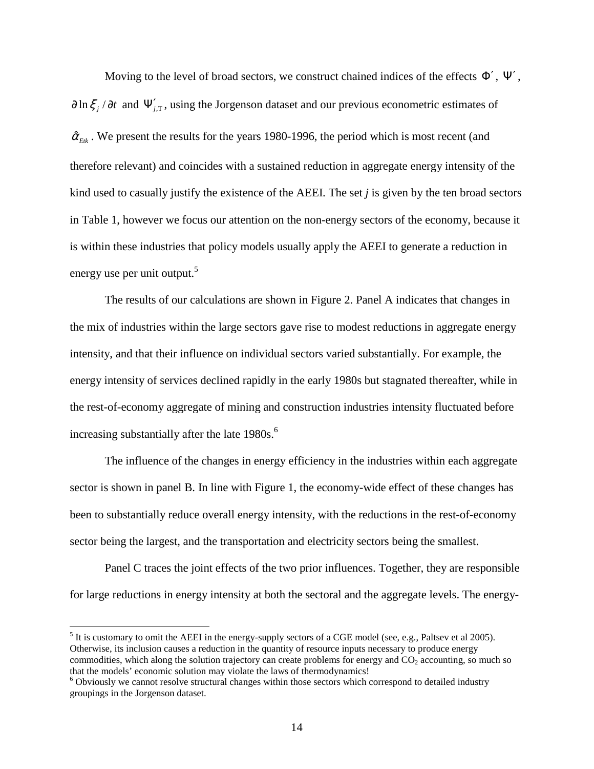Moving to the level of broad sectors, we construct chained indices of the effects  $\Phi'$ ,  $\Psi'$ ,  $\partial \ln \xi_j / \partial t$  and  $\Psi'_{j,T}$ , using the Jorgenson dataset and our previous econometric estimates of  $\hat{\alpha}_{Eik}$ . We present the results for the years 1980-1996, the period which is most recent (and therefore relevant) and coincides with a sustained reduction in aggregate energy intensity of the kind used to casually justify the existence of the AEEI. The set *j* is given by the ten broad sectors in Table 1, however we focus our attention on the non-energy sectors of the economy, because it is within these industries that policy models usually apply the AEEI to generate a reduction in energy use per unit output. $5$ 

The results of our calculations are shown in Figure 2. Panel A indicates that changes in the mix of industries within the large sectors gave rise to modest reductions in aggregate energy intensity, and that their influence on individual sectors varied substantially. For example, the energy intensity of services declined rapidly in the early 1980s but stagnated thereafter, while in the rest-of-economy aggregate of mining and construction industries intensity fluctuated before increasing substantially after the late  $1980s$ .<sup>6</sup>

The influence of the changes in energy efficiency in the industries within each aggregate sector is shown in panel B. In line with Figure 1, the economy-wide effect of these changes has been to substantially reduce overall energy intensity, with the reductions in the rest-of-economy sector being the largest, and the transportation and electricity sectors being the smallest.

Panel C traces the joint effects of the two prior influences. Together, they are responsible for large reductions in energy intensity at both the sectoral and the aggregate levels. The energy-

 $<sup>5</sup>$  It is customary to omit the AEEI in the energy-supply sectors of a CGE model (see, e.g., Paltsev et al 2005).</sup> Otherwise, its inclusion causes a reduction in the quantity of resource inputs necessary to produce energy commodities, which along the solution trajectory can create problems for energy and  $CO<sub>2</sub>$  accounting, so much so that the models' economic solution may violate the laws of thermodynamics!

<sup>&</sup>lt;sup>6</sup> Obviously we cannot resolve structural changes within those sectors which correspond to detailed industry groupings in the Jorgenson dataset.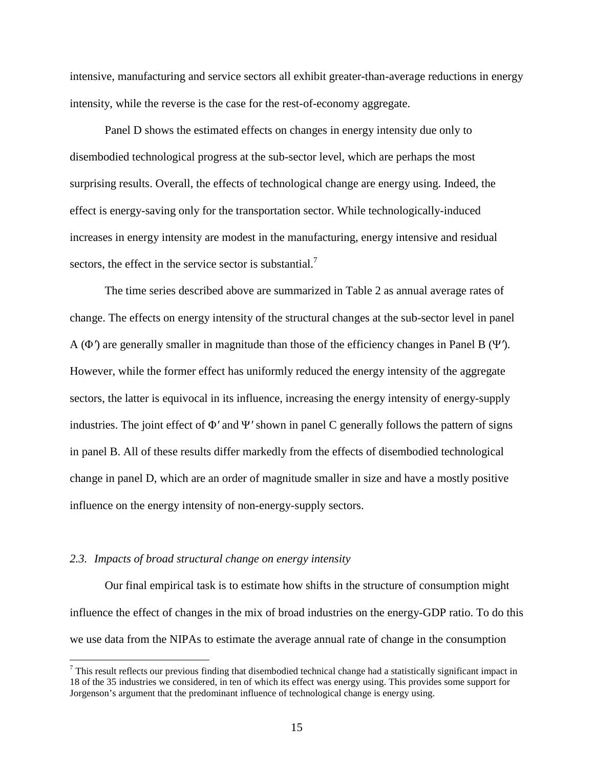intensive, manufacturing and service sectors all exhibit greater-than-average reductions in energy intensity, while the reverse is the case for the rest-of-economy aggregate.

Panel D shows the estimated effects on changes in energy intensity due only to disembodied technological progress at the sub-sector level, which are perhaps the most surprising results. Overall, the effects of technological change are energy using. Indeed, the effect is energy-saving only for the transportation sector. While technologically-induced increases in energy intensity are modest in the manufacturing, energy intensive and residual sectors, the effect in the service sector is substantial.<sup>7</sup>

The time series described above are summarized in Table 2 as annual average rates of change. The effects on energy intensity of the structural changes at the sub-sector level in panel A (<sup>Φ</sup> ′) are generally smaller in magnitude than those of the efficiency changes in Panel B (<sup>Ψ</sup> ′). However, while the former effect has uniformly reduced the energy intensity of the aggregate sectors, the latter is equivocal in its influence, increasing the energy intensity of energy-supply industries. The joint effect of  $\Phi'$  and  $\Psi'$  shown in panel C generally follows the pattern of signs in panel B. All of these results differ markedly from the effects of disembodied technological change in panel D, which are an order of magnitude smaller in size and have a mostly positive influence on the energy intensity of non-energy-supply sectors.

#### *2.3. Impacts of broad structural change on energy intensity*

 $\overline{a}$ 

Our final empirical task is to estimate how shifts in the structure of consumption might influence the effect of changes in the mix of broad industries on the energy-GDP ratio. To do this we use data from the NIPAs to estimate the average annual rate of change in the consumption

 $<sup>7</sup>$  This result reflects our previous finding that disembodied technical change had a statistically significant impact in</sup> 18 of the 35 industries we considered, in ten of which its effect was energy using. This provides some support for Jorgenson's argument that the predominant influence of technological change is energy using.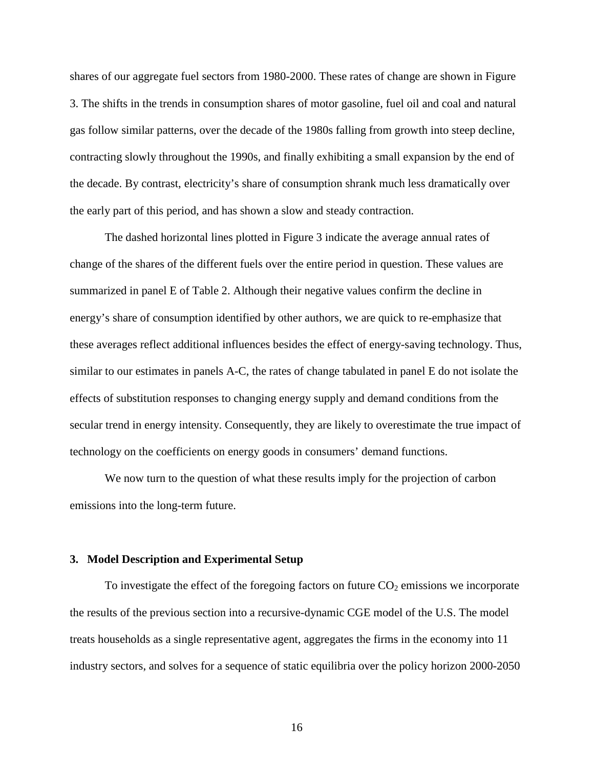shares of our aggregate fuel sectors from 1980-2000. These rates of change are shown in Figure 3. The shifts in the trends in consumption shares of motor gasoline, fuel oil and coal and natural gas follow similar patterns, over the decade of the 1980s falling from growth into steep decline, contracting slowly throughout the 1990s, and finally exhibiting a small expansion by the end of the decade. By contrast, electricity's share of consumption shrank much less dramatically over the early part of this period, and has shown a slow and steady contraction.

The dashed horizontal lines plotted in Figure 3 indicate the average annual rates of change of the shares of the different fuels over the entire period in question. These values are summarized in panel E of Table 2. Although their negative values confirm the decline in energy's share of consumption identified by other authors, we are quick to re-emphasize that these averages reflect additional influences besides the effect of energy-saving technology. Thus, similar to our estimates in panels A-C, the rates of change tabulated in panel E do not isolate the effects of substitution responses to changing energy supply and demand conditions from the secular trend in energy intensity. Consequently, they are likely to overestimate the true impact of technology on the coefficients on energy goods in consumers' demand functions.

We now turn to the question of what these results imply for the projection of carbon emissions into the long-term future.

#### **3. Model Description and Experimental Setup**

To investigate the effect of the foregoing factors on future  $CO<sub>2</sub>$  emissions we incorporate the results of the previous section into a recursive-dynamic CGE model of the U.S. The model treats households as a single representative agent, aggregates the firms in the economy into 11 industry sectors, and solves for a sequence of static equilibria over the policy horizon 2000-2050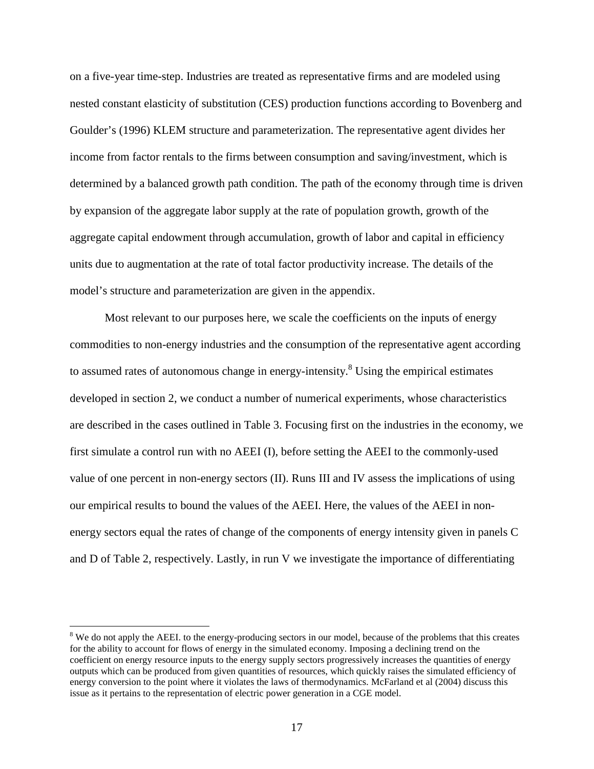on a five-year time-step. Industries are treated as representative firms and are modeled using nested constant elasticity of substitution (CES) production functions according to Bovenberg and Goulder's (1996) KLEM structure and parameterization. The representative agent divides her income from factor rentals to the firms between consumption and saving/investment, which is determined by a balanced growth path condition. The path of the economy through time is driven by expansion of the aggregate labor supply at the rate of population growth, growth of the aggregate capital endowment through accumulation, growth of labor and capital in efficiency units due to augmentation at the rate of total factor productivity increase. The details of the model's structure and parameterization are given in the appendix.

Most relevant to our purposes here, we scale the coefficients on the inputs of energy commodities to non-energy industries and the consumption of the representative agent according to assumed rates of autonomous change in energy-intensity.<sup>8</sup> Using the empirical estimates developed in section 2, we conduct a number of numerical experiments, whose characteristics are described in the cases outlined in Table 3. Focusing first on the industries in the economy, we first simulate a control run with no AEEI (I), before setting the AEEI to the commonly-used value of one percent in non-energy sectors (II). Runs III and IV assess the implications of using our empirical results to bound the values of the AEEI. Here, the values of the AEEI in nonenergy sectors equal the rates of change of the components of energy intensity given in panels C and D of Table 2, respectively. Lastly, in run V we investigate the importance of differentiating

<sup>&</sup>lt;sup>8</sup> We do not apply the AEEI. to the energy-producing sectors in our model, because of the problems that this creates for the ability to account for flows of energy in the simulated economy. Imposing a declining trend on the coefficient on energy resource inputs to the energy supply sectors progressively increases the quantities of energy outputs which can be produced from given quantities of resources, which quickly raises the simulated efficiency of energy conversion to the point where it violates the laws of thermodynamics. McFarland et al (2004) discuss this issue as it pertains to the representation of electric power generation in a CGE model.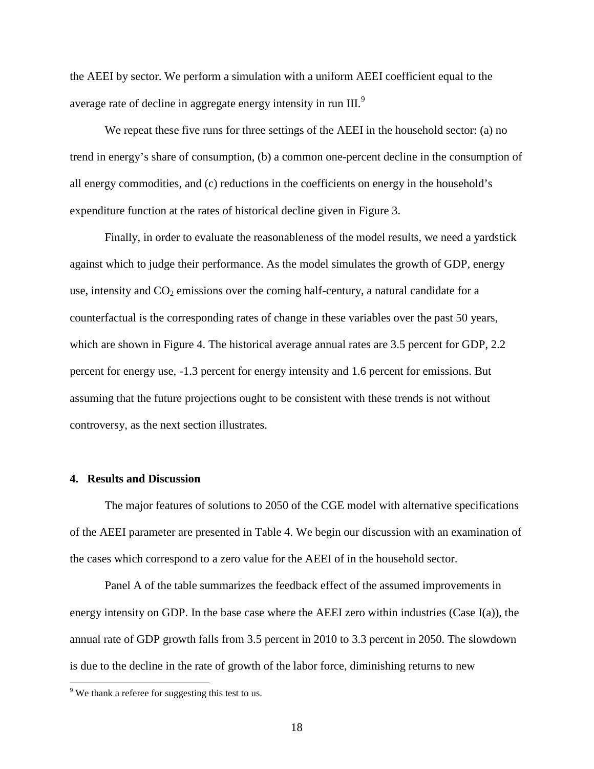the AEEI by sector. We perform a simulation with a uniform AEEI coefficient equal to the average rate of decline in aggregate energy intensity in run III.<sup>9</sup>

We repeat these five runs for three settings of the AEEI in the household sector: (a) no trend in energy's share of consumption, (b) a common one-percent decline in the consumption of all energy commodities, and (c) reductions in the coefficients on energy in the household's expenditure function at the rates of historical decline given in Figure 3.

Finally, in order to evaluate the reasonableness of the model results, we need a yardstick against which to judge their performance. As the model simulates the growth of GDP, energy use, intensity and  $CO<sub>2</sub>$  emissions over the coming half-century, a natural candidate for a counterfactual is the corresponding rates of change in these variables over the past 50 years, which are shown in Figure 4. The historical average annual rates are 3.5 percent for GDP, 2.2 percent for energy use, -1.3 percent for energy intensity and 1.6 percent for emissions. But assuming that the future projections ought to be consistent with these trends is not without controversy, as the next section illustrates.

# **4. Results and Discussion**

The major features of solutions to 2050 of the CGE model with alternative specifications of the AEEI parameter are presented in Table 4. We begin our discussion with an examination of the cases which correspond to a zero value for the AEEI of in the household sector.

Panel A of the table summarizes the feedback effect of the assumed improvements in energy intensity on GDP. In the base case where the AEEI zero within industries (Case I(a)), the annual rate of GDP growth falls from 3.5 percent in 2010 to 3.3 percent in 2050. The slowdown is due to the decline in the rate of growth of the labor force, diminishing returns to new

 $9$  We thank a referee for suggesting this test to us.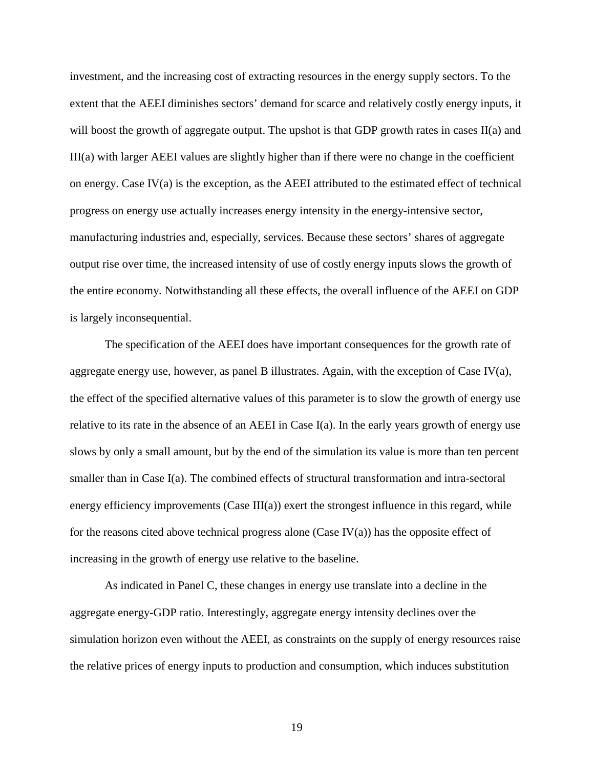investment, and the increasing cost of extracting resources in the energy supply sectors. To the extent that the AEEI diminishes sectors' demand for scarce and relatively costly energy inputs, it will boost the growth of aggregate output. The upshot is that GDP growth rates in cases II(a) and III(a) with larger AEEI values are slightly higher than if there were no change in the coefficient on energy. Case  $IV(a)$  is the exception, as the AEEI attributed to the estimated effect of technical progress on energy use actually increases energy intensity in the energy-intensive sector, manufacturing industries and, especially, services. Because these sectors' shares of aggregate output rise over time, the increased intensity of use of costly energy inputs slows the growth of the entire economy. Notwithstanding all these effects, the overall influence of the AEEI on GDP is largely inconsequential.

The specification of the AEEI does have important consequences for the growth rate of aggregate energy use, however, as panel B illustrates. Again, with the exception of Case IV(a), the effect of the specified alternative values of this parameter is to slow the growth of energy use relative to its rate in the absence of an AEEI in Case I(a). In the early years growth of energy use slows by only a small amount, but by the end of the simulation its value is more than ten percent smaller than in Case I(a). The combined effects of structural transformation and intra-sectoral energy efficiency improvements (Case  $III(a)$ ) exert the strongest influence in this regard, while for the reasons cited above technical progress alone (Case IV(a)) has the opposite effect of increasing in the growth of energy use relative to the baseline.

As indicated in Panel C, these changes in energy use translate into a decline in the aggregate energy-GDP ratio. Interestingly, aggregate energy intensity declines over the simulation horizon even without the AEEI, as constraints on the supply of energy resources raise the relative prices of energy inputs to production and consumption, which induces substitution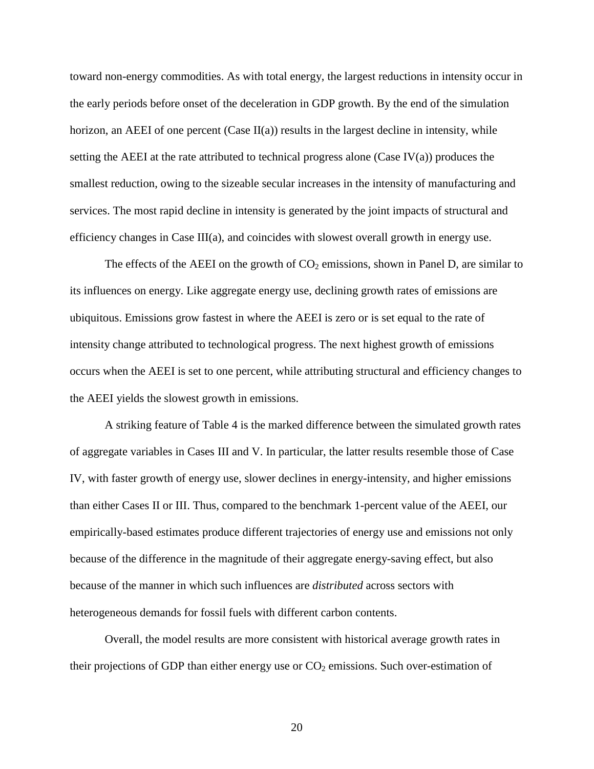toward non-energy commodities. As with total energy, the largest reductions in intensity occur in the early periods before onset of the deceleration in GDP growth. By the end of the simulation horizon, an AEEI of one percent  $(Case II(a))$  results in the largest decline in intensity, while setting the AEEI at the rate attributed to technical progress alone (Case IV(a)) produces the smallest reduction, owing to the sizeable secular increases in the intensity of manufacturing and services. The most rapid decline in intensity is generated by the joint impacts of structural and efficiency changes in Case III(a), and coincides with slowest overall growth in energy use.

The effects of the AEEI on the growth of  $CO<sub>2</sub>$  emissions, shown in Panel D, are similar to its influences on energy. Like aggregate energy use, declining growth rates of emissions are ubiquitous. Emissions grow fastest in where the AEEI is zero or is set equal to the rate of intensity change attributed to technological progress. The next highest growth of emissions occurs when the AEEI is set to one percent, while attributing structural and efficiency changes to the AEEI yields the slowest growth in emissions.

A striking feature of Table 4 is the marked difference between the simulated growth rates of aggregate variables in Cases III and V. In particular, the latter results resemble those of Case IV, with faster growth of energy use, slower declines in energy-intensity, and higher emissions than either Cases II or III. Thus, compared to the benchmark 1-percent value of the AEEI, our empirically-based estimates produce different trajectories of energy use and emissions not only because of the difference in the magnitude of their aggregate energy-saving effect, but also because of the manner in which such influences are *distributed* across sectors with heterogeneous demands for fossil fuels with different carbon contents.

Overall, the model results are more consistent with historical average growth rates in their projections of GDP than either energy use or  $CO<sub>2</sub>$  emissions. Such over-estimation of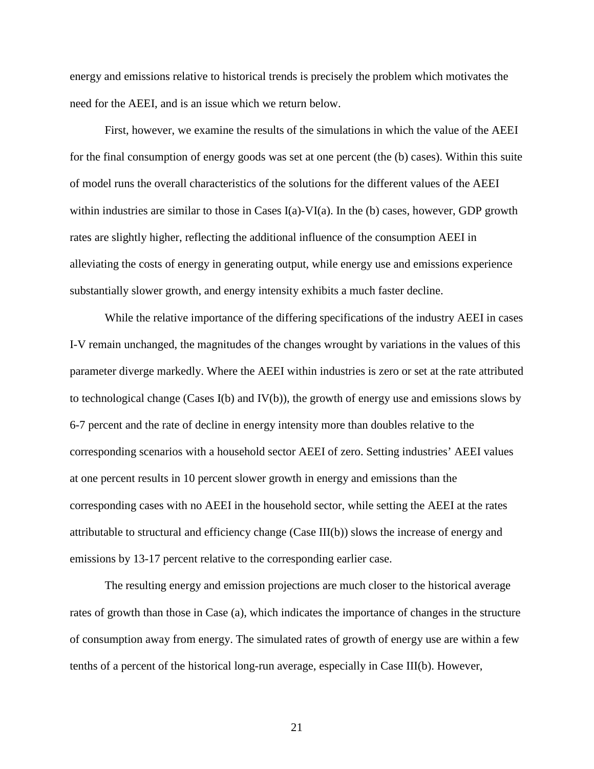energy and emissions relative to historical trends is precisely the problem which motivates the need for the AEEI, and is an issue which we return below.

First, however, we examine the results of the simulations in which the value of the AEEI for the final consumption of energy goods was set at one percent (the (b) cases). Within this suite of model runs the overall characteristics of the solutions for the different values of the AEEI within industries are similar to those in Cases I(a)-VI(a). In the (b) cases, however, GDP growth rates are slightly higher, reflecting the additional influence of the consumption AEEI in alleviating the costs of energy in generating output, while energy use and emissions experience substantially slower growth, and energy intensity exhibits a much faster decline.

While the relative importance of the differing specifications of the industry AEEI in cases I-V remain unchanged, the magnitudes of the changes wrought by variations in the values of this parameter diverge markedly. Where the AEEI within industries is zero or set at the rate attributed to technological change (Cases I(b) and IV(b)), the growth of energy use and emissions slows by 6-7 percent and the rate of decline in energy intensity more than doubles relative to the corresponding scenarios with a household sector AEEI of zero. Setting industries' AEEI values at one percent results in 10 percent slower growth in energy and emissions than the corresponding cases with no AEEI in the household sector, while setting the AEEI at the rates attributable to structural and efficiency change (Case III(b)) slows the increase of energy and emissions by 13-17 percent relative to the corresponding earlier case.

The resulting energy and emission projections are much closer to the historical average rates of growth than those in Case (a), which indicates the importance of changes in the structure of consumption away from energy. The simulated rates of growth of energy use are within a few tenths of a percent of the historical long-run average, especially in Case III(b). However,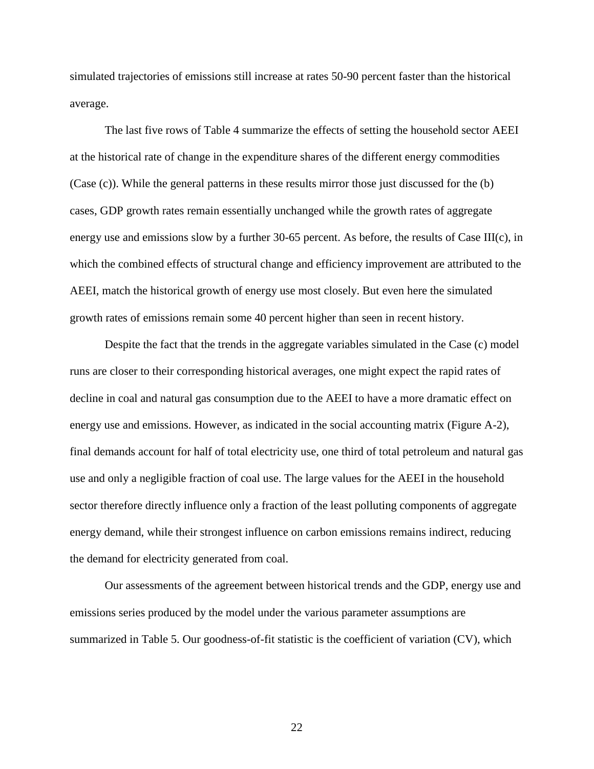simulated trajectories of emissions still increase at rates 50-90 percent faster than the historical average.

The last five rows of Table 4 summarize the effects of setting the household sector AEEI at the historical rate of change in the expenditure shares of the different energy commodities (Case (c)). While the general patterns in these results mirror those just discussed for the (b) cases, GDP growth rates remain essentially unchanged while the growth rates of aggregate energy use and emissions slow by a further 30-65 percent. As before, the results of Case III(c), in which the combined effects of structural change and efficiency improvement are attributed to the AEEI, match the historical growth of energy use most closely. But even here the simulated growth rates of emissions remain some 40 percent higher than seen in recent history.

Despite the fact that the trends in the aggregate variables simulated in the Case (c) model runs are closer to their corresponding historical averages, one might expect the rapid rates of decline in coal and natural gas consumption due to the AEEI to have a more dramatic effect on energy use and emissions. However, as indicated in the social accounting matrix (Figure A-2), final demands account for half of total electricity use, one third of total petroleum and natural gas use and only a negligible fraction of coal use. The large values for the AEEI in the household sector therefore directly influence only a fraction of the least polluting components of aggregate energy demand, while their strongest influence on carbon emissions remains indirect, reducing the demand for electricity generated from coal.

Our assessments of the agreement between historical trends and the GDP, energy use and emissions series produced by the model under the various parameter assumptions are summarized in Table 5. Our goodness-of-fit statistic is the coefficient of variation (CV), which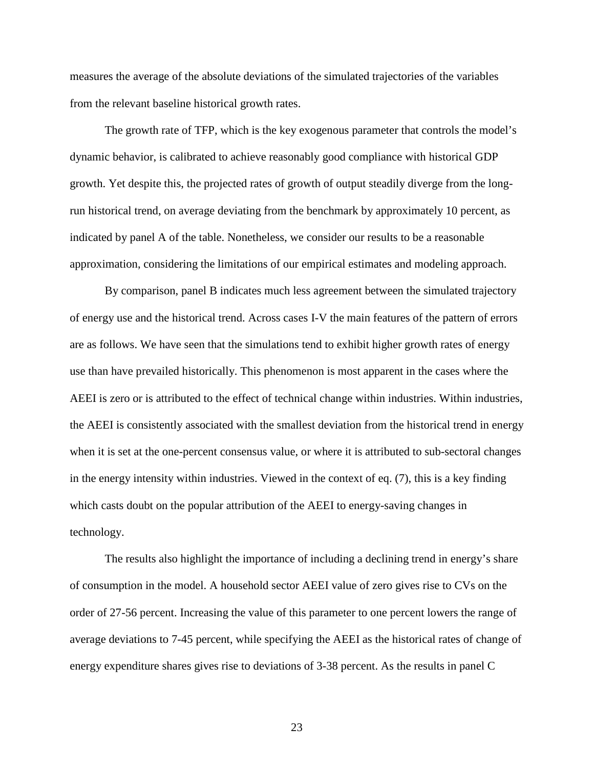measures the average of the absolute deviations of the simulated trajectories of the variables from the relevant baseline historical growth rates.

The growth rate of TFP, which is the key exogenous parameter that controls the model's dynamic behavior, is calibrated to achieve reasonably good compliance with historical GDP growth. Yet despite this, the projected rates of growth of output steadily diverge from the longrun historical trend, on average deviating from the benchmark by approximately 10 percent, as indicated by panel A of the table. Nonetheless, we consider our results to be a reasonable approximation, considering the limitations of our empirical estimates and modeling approach.

By comparison, panel B indicates much less agreement between the simulated trajectory of energy use and the historical trend. Across cases I-V the main features of the pattern of errors are as follows. We have seen that the simulations tend to exhibit higher growth rates of energy use than have prevailed historically. This phenomenon is most apparent in the cases where the AEEI is zero or is attributed to the effect of technical change within industries. Within industries, the AEEI is consistently associated with the smallest deviation from the historical trend in energy when it is set at the one-percent consensus value, or where it is attributed to sub-sectoral changes in the energy intensity within industries. Viewed in the context of eq. (7), this is a key finding which casts doubt on the popular attribution of the AEEI to energy-saving changes in technology.

The results also highlight the importance of including a declining trend in energy's share of consumption in the model. A household sector AEEI value of zero gives rise to CVs on the order of 27-56 percent. Increasing the value of this parameter to one percent lowers the range of average deviations to 7-45 percent, while specifying the AEEI as the historical rates of change of energy expenditure shares gives rise to deviations of 3-38 percent. As the results in panel C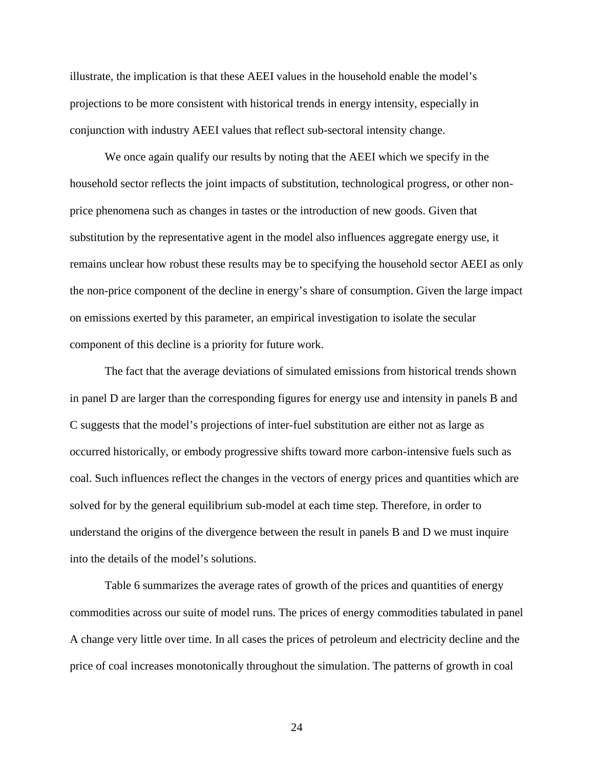illustrate, the implication is that these AEEI values in the household enable the model's projections to be more consistent with historical trends in energy intensity, especially in conjunction with industry AEEI values that reflect sub-sectoral intensity change.

We once again qualify our results by noting that the AEEI which we specify in the household sector reflects the joint impacts of substitution, technological progress, or other nonprice phenomena such as changes in tastes or the introduction of new goods. Given that substitution by the representative agent in the model also influences aggregate energy use, it remains unclear how robust these results may be to specifying the household sector AEEI as only the non-price component of the decline in energy's share of consumption. Given the large impact on emissions exerted by this parameter, an empirical investigation to isolate the secular component of this decline is a priority for future work.

The fact that the average deviations of simulated emissions from historical trends shown in panel D are larger than the corresponding figures for energy use and intensity in panels B and C suggests that the model's projections of inter-fuel substitution are either not as large as occurred historically, or embody progressive shifts toward more carbon-intensive fuels such as coal. Such influences reflect the changes in the vectors of energy prices and quantities which are solved for by the general equilibrium sub-model at each time step. Therefore, in order to understand the origins of the divergence between the result in panels B and D we must inquire into the details of the model's solutions.

Table 6 summarizes the average rates of growth of the prices and quantities of energy commodities across our suite of model runs. The prices of energy commodities tabulated in panel A change very little over time. In all cases the prices of petroleum and electricity decline and the price of coal increases monotonically throughout the simulation. The patterns of growth in coal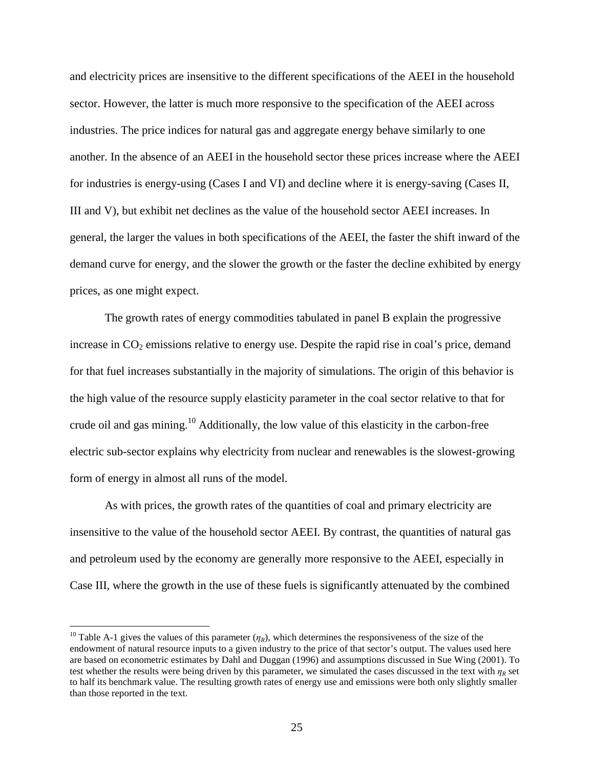and electricity prices are insensitive to the different specifications of the AEEI in the household sector. However, the latter is much more responsive to the specification of the AEEI across industries. The price indices for natural gas and aggregate energy behave similarly to one another. In the absence of an AEEI in the household sector these prices increase where the AEEI for industries is energy-using (Cases I and VI) and decline where it is energy-saving (Cases II, III and V), but exhibit net declines as the value of the household sector AEEI increases. In general, the larger the values in both specifications of the AEEI, the faster the shift inward of the demand curve for energy, and the slower the growth or the faster the decline exhibited by energy prices, as one might expect.

The growth rates of energy commodities tabulated in panel B explain the progressive increase in  $CO<sub>2</sub>$  emissions relative to energy use. Despite the rapid rise in coal's price, demand for that fuel increases substantially in the majority of simulations. The origin of this behavior is the high value of the resource supply elasticity parameter in the coal sector relative to that for crude oil and gas mining.<sup>10</sup> Additionally, the low value of this elasticity in the carbon-free electric sub-sector explains why electricity from nuclear and renewables is the slowest-growing form of energy in almost all runs of the model.

As with prices, the growth rates of the quantities of coal and primary electricity are insensitive to the value of the household sector AEEI. By contrast, the quantities of natural gas and petroleum used by the economy are generally more responsive to the AEEI, especially in Case III, where the growth in the use of these fuels is significantly attenuated by the combined

<sup>&</sup>lt;sup>10</sup> Table A-1 gives the values of this parameter  $(\eta_R)$ , which determines the responsiveness of the size of the endowment of natural resource inputs to a given industry to the price of that sector's output. The values used here are based on econometric estimates by Dahl and Duggan (1996) and assumptions discussed in Sue Wing (2001). To test whether the results were being driven by this parameter, we simulated the cases discussed in the text with  $\eta_R$  set to half its benchmark value. The resulting growth rates of energy use and emissions were both only slightly smaller than those reported in the text.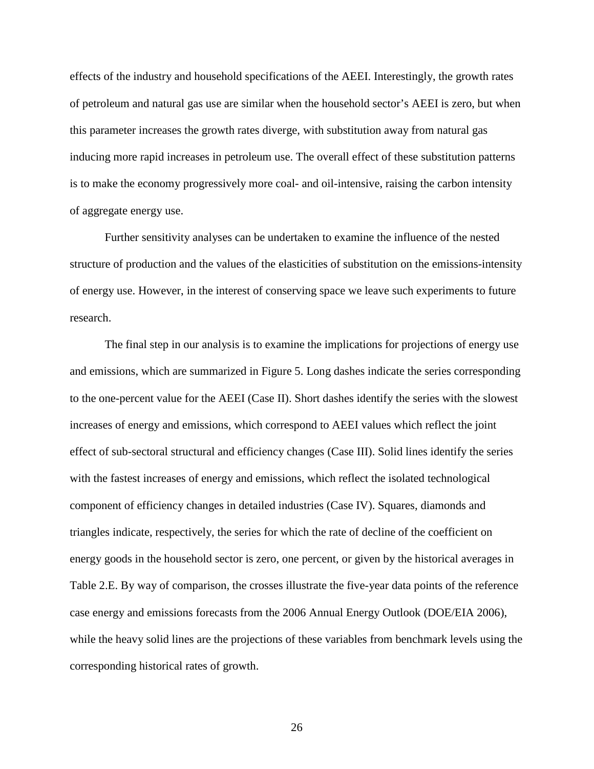effects of the industry and household specifications of the AEEI. Interestingly, the growth rates of petroleum and natural gas use are similar when the household sector's AEEI is zero, but when this parameter increases the growth rates diverge, with substitution away from natural gas inducing more rapid increases in petroleum use. The overall effect of these substitution patterns is to make the economy progressively more coal- and oil-intensive, raising the carbon intensity of aggregate energy use.

Further sensitivity analyses can be undertaken to examine the influence of the nested structure of production and the values of the elasticities of substitution on the emissions-intensity of energy use. However, in the interest of conserving space we leave such experiments to future research.

The final step in our analysis is to examine the implications for projections of energy use and emissions, which are summarized in Figure 5. Long dashes indicate the series corresponding to the one-percent value for the AEEI (Case II). Short dashes identify the series with the slowest increases of energy and emissions, which correspond to AEEI values which reflect the joint effect of sub-sectoral structural and efficiency changes (Case III). Solid lines identify the series with the fastest increases of energy and emissions, which reflect the isolated technological component of efficiency changes in detailed industries (Case IV). Squares, diamonds and triangles indicate, respectively, the series for which the rate of decline of the coefficient on energy goods in the household sector is zero, one percent, or given by the historical averages in Table 2.E. By way of comparison, the crosses illustrate the five-year data points of the reference case energy and emissions forecasts from the 2006 Annual Energy Outlook (DOE/EIA 2006), while the heavy solid lines are the projections of these variables from benchmark levels using the corresponding historical rates of growth.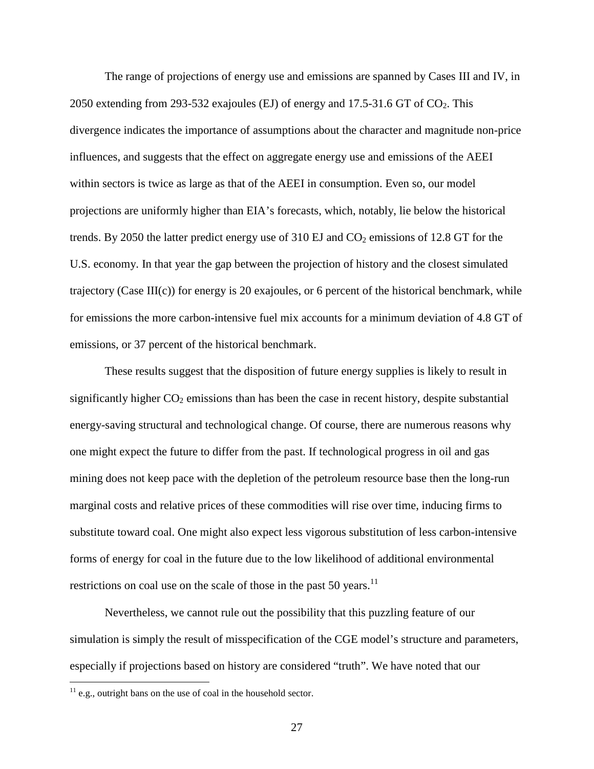The range of projections of energy use and emissions are spanned by Cases III and IV, in 2050 extending from 293-532 exajoules (EJ) of energy and 17.5-31.6 GT of  $CO<sub>2</sub>$ . This divergence indicates the importance of assumptions about the character and magnitude non-price influences, and suggests that the effect on aggregate energy use and emissions of the AEEI within sectors is twice as large as that of the AEEI in consumption. Even so, our model projections are uniformly higher than EIA's forecasts, which, notably, lie below the historical trends. By 2050 the latter predict energy use of  $310 \text{ EJ}$  and  $\text{CO}_2$  emissions of 12.8 GT for the U.S. economy. In that year the gap between the projection of history and the closest simulated trajectory (Case III(c)) for energy is 20 exajoules, or 6 percent of the historical benchmark, while for emissions the more carbon-intensive fuel mix accounts for a minimum deviation of 4.8 GT of emissions, or 37 percent of the historical benchmark.

These results suggest that the disposition of future energy supplies is likely to result in significantly higher  $CO<sub>2</sub>$  emissions than has been the case in recent history, despite substantial energy-saving structural and technological change. Of course, there are numerous reasons why one might expect the future to differ from the past. If technological progress in oil and gas mining does not keep pace with the depletion of the petroleum resource base then the long-run marginal costs and relative prices of these commodities will rise over time, inducing firms to substitute toward coal. One might also expect less vigorous substitution of less carbon-intensive forms of energy for coal in the future due to the low likelihood of additional environmental restrictions on coal use on the scale of those in the past 50 years.<sup>11</sup>

Nevertheless, we cannot rule out the possibility that this puzzling feature of our simulation is simply the result of misspecification of the CGE model's structure and parameters, especially if projections based on history are considered "truth". We have noted that our

 $11$  e.g., outright bans on the use of coal in the household sector.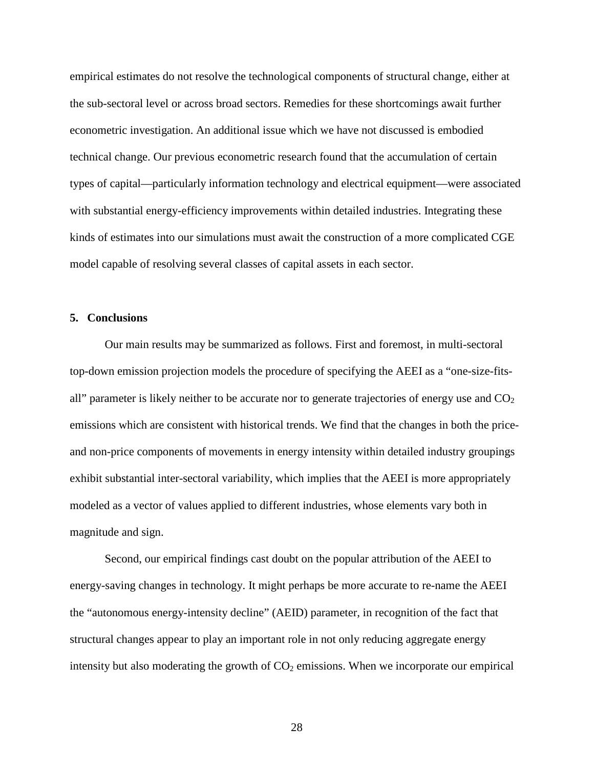empirical estimates do not resolve the technological components of structural change, either at the sub-sectoral level or across broad sectors. Remedies for these shortcomings await further econometric investigation. An additional issue which we have not discussed is embodied technical change. Our previous econometric research found that the accumulation of certain types of capital—particularly information technology and electrical equipment—were associated with substantial energy-efficiency improvements within detailed industries. Integrating these kinds of estimates into our simulations must await the construction of a more complicated CGE model capable of resolving several classes of capital assets in each sector.

#### **5. Conclusions**

Our main results may be summarized as follows. First and foremost, in multi-sectoral top-down emission projection models the procedure of specifying the AEEI as a "one-size-fitsall" parameter is likely neither to be accurate nor to generate trajectories of energy use and  $CO<sub>2</sub>$ emissions which are consistent with historical trends. We find that the changes in both the priceand non-price components of movements in energy intensity within detailed industry groupings exhibit substantial inter-sectoral variability, which implies that the AEEI is more appropriately modeled as a vector of values applied to different industries, whose elements vary both in magnitude and sign.

Second, our empirical findings cast doubt on the popular attribution of the AEEI to energy-saving changes in technology. It might perhaps be more accurate to re-name the AEEI the "autonomous energy-intensity decline" (AEID) parameter, in recognition of the fact that structural changes appear to play an important role in not only reducing aggregate energy intensity but also moderating the growth of  $CO<sub>2</sub>$  emissions. When we incorporate our empirical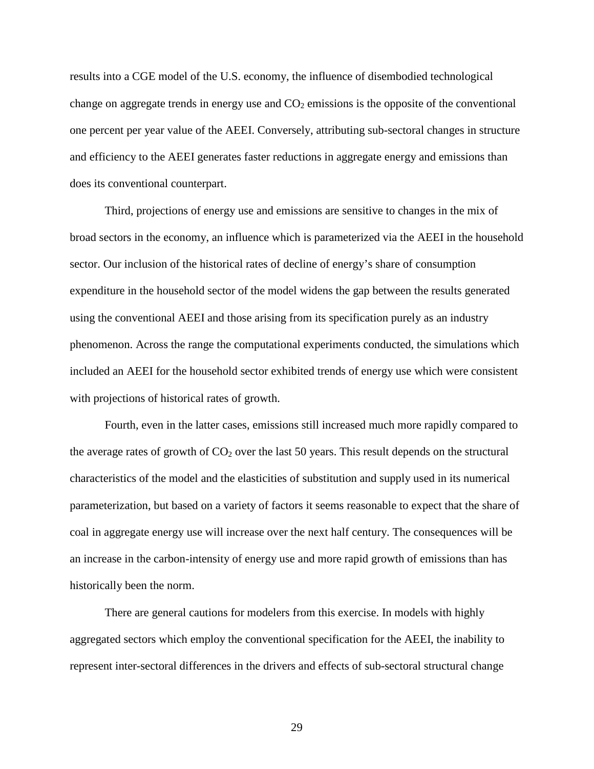results into a CGE model of the U.S. economy, the influence of disembodied technological change on aggregate trends in energy use and  $CO<sub>2</sub>$  emissions is the opposite of the conventional one percent per year value of the AEEI. Conversely, attributing sub-sectoral changes in structure and efficiency to the AEEI generates faster reductions in aggregate energy and emissions than does its conventional counterpart.

Third, projections of energy use and emissions are sensitive to changes in the mix of broad sectors in the economy, an influence which is parameterized via the AEEI in the household sector. Our inclusion of the historical rates of decline of energy's share of consumption expenditure in the household sector of the model widens the gap between the results generated using the conventional AEEI and those arising from its specification purely as an industry phenomenon. Across the range the computational experiments conducted, the simulations which included an AEEI for the household sector exhibited trends of energy use which were consistent with projections of historical rates of growth.

Fourth, even in the latter cases, emissions still increased much more rapidly compared to the average rates of growth of  $CO<sub>2</sub>$  over the last 50 years. This result depends on the structural characteristics of the model and the elasticities of substitution and supply used in its numerical parameterization, but based on a variety of factors it seems reasonable to expect that the share of coal in aggregate energy use will increase over the next half century. The consequences will be an increase in the carbon-intensity of energy use and more rapid growth of emissions than has historically been the norm.

There are general cautions for modelers from this exercise. In models with highly aggregated sectors which employ the conventional specification for the AEEI, the inability to represent inter-sectoral differences in the drivers and effects of sub-sectoral structural change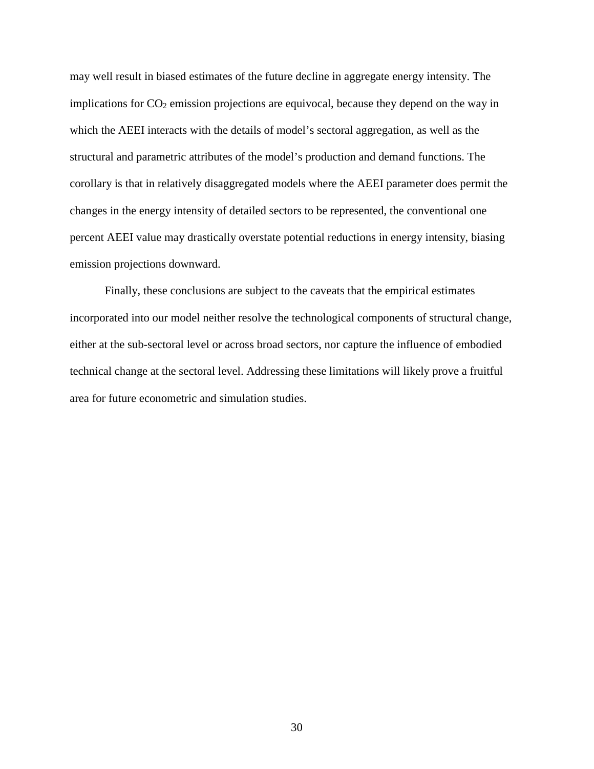may well result in biased estimates of the future decline in aggregate energy intensity. The implications for  $CO_2$  emission projections are equivocal, because they depend on the way in which the AEEI interacts with the details of model's sectoral aggregation, as well as the structural and parametric attributes of the model's production and demand functions. The corollary is that in relatively disaggregated models where the AEEI parameter does permit the changes in the energy intensity of detailed sectors to be represented, the conventional one percent AEEI value may drastically overstate potential reductions in energy intensity, biasing emission projections downward.

Finally, these conclusions are subject to the caveats that the empirical estimates incorporated into our model neither resolve the technological components of structural change, either at the sub-sectoral level or across broad sectors, nor capture the influence of embodied technical change at the sectoral level. Addressing these limitations will likely prove a fruitful area for future econometric and simulation studies.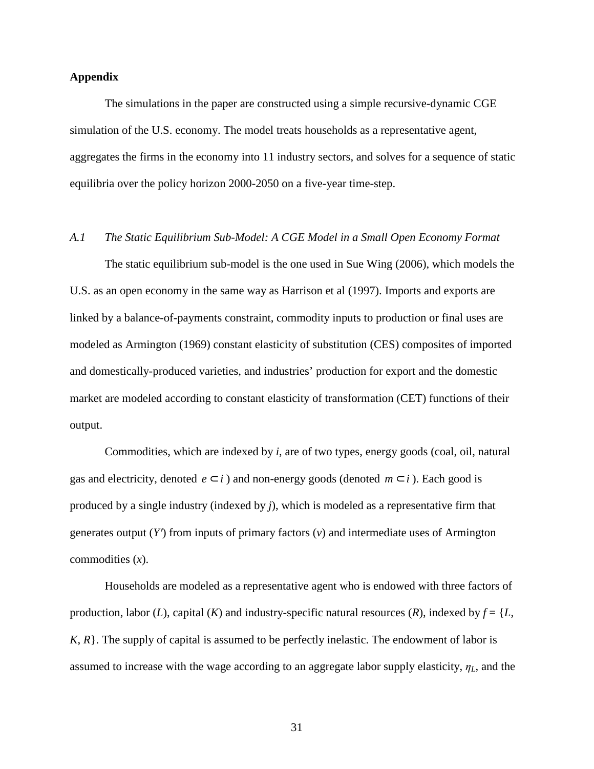#### **Appendix**

The simulations in the paper are constructed using a simple recursive-dynamic CGE simulation of the U.S. economy. The model treats households as a representative agent, aggregates the firms in the economy into 11 industry sectors, and solves for a sequence of static equilibria over the policy horizon 2000-2050 on a five-year time-step.

## *A.1 The Static Equilibrium Sub-Model: A CGE Model in a Small Open Economy Format*

The static equilibrium sub-model is the one used in Sue Wing (2006), which models the U.S. as an open economy in the same way as Harrison et al (1997). Imports and exports are linked by a balance-of-payments constraint, commodity inputs to production or final uses are modeled as Armington (1969) constant elasticity of substitution (CES) composites of imported and domestically-produced varieties, and industries' production for export and the domestic market are modeled according to constant elasticity of transformation (CET) functions of their output.

Commodities, which are indexed by *i*, are of two types, energy goods (coal, oil, natural gas and electricity, denoted  $e \subset i$ ) and non-energy goods (denoted  $m \subset i$ ). Each good is produced by a single industry (indexed by *j*), which is modeled as a representative firm that generates output (*Y*′) from inputs of primary factors (*v*) and intermediate uses of Armington commodities (*x*).

Households are modeled as a representative agent who is endowed with three factors of production, labor (*L*), capital (*K*) and industry-specific natural resources (*R*), indexed by  $f = \{L,$ *K*, *R*}. The supply of capital is assumed to be perfectly inelastic. The endowment of labor is assumed to increase with the wage according to an aggregate labor supply elasticity,  $\eta_L$ , and the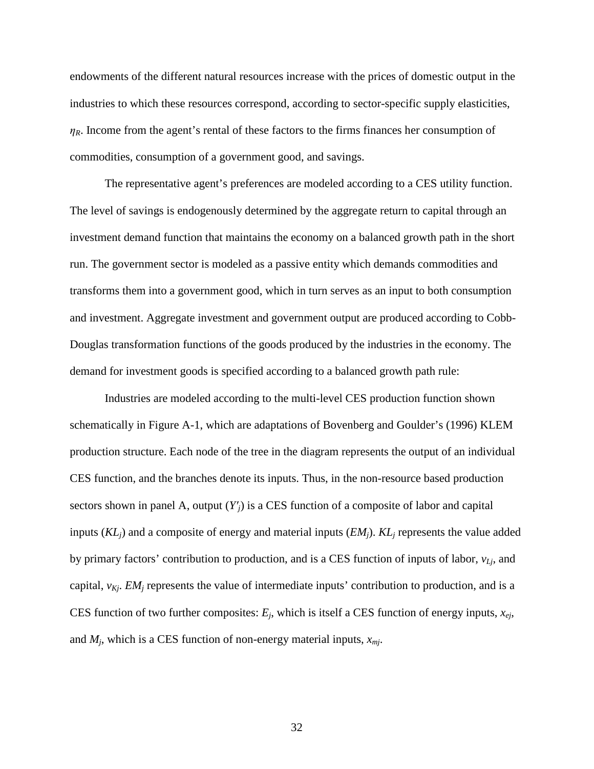endowments of the different natural resources increase with the prices of domestic output in the industries to which these resources correspond, according to sector-specific supply elasticities,  $\eta_R$ . Income from the agent's rental of these factors to the firms finances her consumption of commodities, consumption of a government good, and savings.

The representative agent's preferences are modeled according to a CES utility function. The level of savings is endogenously determined by the aggregate return to capital through an investment demand function that maintains the economy on a balanced growth path in the short run. The government sector is modeled as a passive entity which demands commodities and transforms them into a government good, which in turn serves as an input to both consumption and investment. Aggregate investment and government output are produced according to Cobb-Douglas transformation functions of the goods produced by the industries in the economy. The demand for investment goods is specified according to a balanced growth path rule:

Industries are modeled according to the multi-level CES production function shown schematically in Figure A-1, which are adaptations of Bovenberg and Goulder's (1996) KLEM production structure. Each node of the tree in the diagram represents the output of an individual CES function, and the branches denote its inputs. Thus, in the non-resource based production sectors shown in panel A, output (*Y*′*j*) is a CES function of a composite of labor and capital inputs (*KLj*) and a composite of energy and material inputs (*EMj*). *KL<sup>j</sup>* represents the value added by primary factors' contribution to production, and is a CES function of inputs of labor, *vLj*, and capital,  $v_{Kj}$ . *EM<sub>j</sub>* represents the value of intermediate inputs' contribution to production, and is a CES function of two further composites:  $E_j$ , which is itself a CES function of energy inputs,  $x_{ej}$ , and *M<sup>j</sup>* , which is a CES function of non-energy material inputs, *xmj*.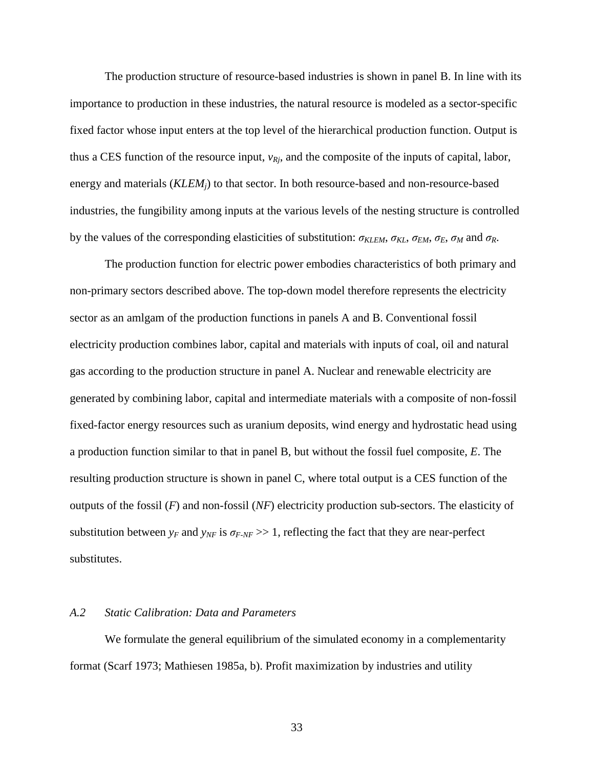The production structure of resource-based industries is shown in panel B. In line with its importance to production in these industries, the natural resource is modeled as a sector-specific fixed factor whose input enters at the top level of the hierarchical production function. Output is thus a CES function of the resource input, *vRj*, and the composite of the inputs of capital, labor, energy and materials (*KLEMj*) to that sector. In both resource-based and non-resource-based industries, the fungibility among inputs at the various levels of the nesting structure is controlled by the values of the corresponding elasticities of substitution:  $\sigma_{KLEM}$ ,  $\sigma_{KL}$ ,  $\sigma_{EM}$ ,  $\sigma_E$ ,  $\sigma_M$  and  $\sigma_R$ .

The production function for electric power embodies characteristics of both primary and non-primary sectors described above. The top-down model therefore represents the electricity sector as an amlgam of the production functions in panels A and B. Conventional fossil electricity production combines labor, capital and materials with inputs of coal, oil and natural gas according to the production structure in panel A. Nuclear and renewable electricity are generated by combining labor, capital and intermediate materials with a composite of non-fossil fixed-factor energy resources such as uranium deposits, wind energy and hydrostatic head using a production function similar to that in panel B, but without the fossil fuel composite, *E*. The resulting production structure is shown in panel C, where total output is a CES function of the outputs of the fossil (*F*) and non-fossil (*NF*) electricity production sub-sectors. The elasticity of substitution between  $y_F$  and  $y_{NF}$  is  $\sigma_{F\text{-}NF} >> 1$ , reflecting the fact that they are near-perfect substitutes.

#### *A.2 Static Calibration: Data and Parameters*

We formulate the general equilibrium of the simulated economy in a complementarity format (Scarf 1973; Mathiesen 1985a, b). Profit maximization by industries and utility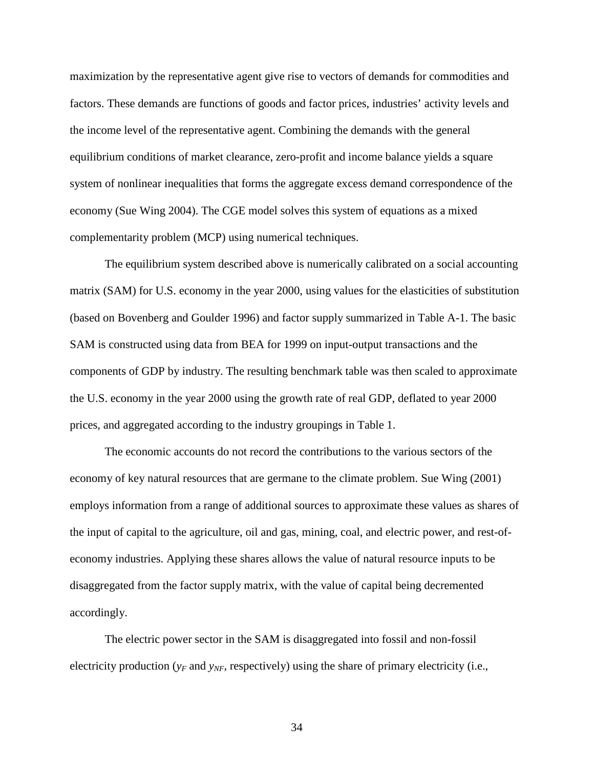maximization by the representative agent give rise to vectors of demands for commodities and factors. These demands are functions of goods and factor prices, industries' activity levels and the income level of the representative agent. Combining the demands with the general equilibrium conditions of market clearance, zero-profit and income balance yields a square system of nonlinear inequalities that forms the aggregate excess demand correspondence of the economy (Sue Wing 2004). The CGE model solves this system of equations as a mixed complementarity problem (MCP) using numerical techniques.

The equilibrium system described above is numerically calibrated on a social accounting matrix (SAM) for U.S. economy in the year 2000, using values for the elasticities of substitution (based on Bovenberg and Goulder 1996) and factor supply summarized in Table A-1. The basic SAM is constructed using data from BEA for 1999 on input-output transactions and the components of GDP by industry. The resulting benchmark table was then scaled to approximate the U.S. economy in the year 2000 using the growth rate of real GDP, deflated to year 2000 prices, and aggregated according to the industry groupings in Table 1.

The economic accounts do not record the contributions to the various sectors of the economy of key natural resources that are germane to the climate problem. Sue Wing (2001) employs information from a range of additional sources to approximate these values as shares of the input of capital to the agriculture, oil and gas, mining, coal, and electric power, and rest-ofeconomy industries. Applying these shares allows the value of natural resource inputs to be disaggregated from the factor supply matrix, with the value of capital being decremented accordingly.

The electric power sector in the SAM is disaggregated into fossil and non-fossil electricity production ( $y_F$  and  $y_{NF}$ , respectively) using the share of primary electricity (i.e.,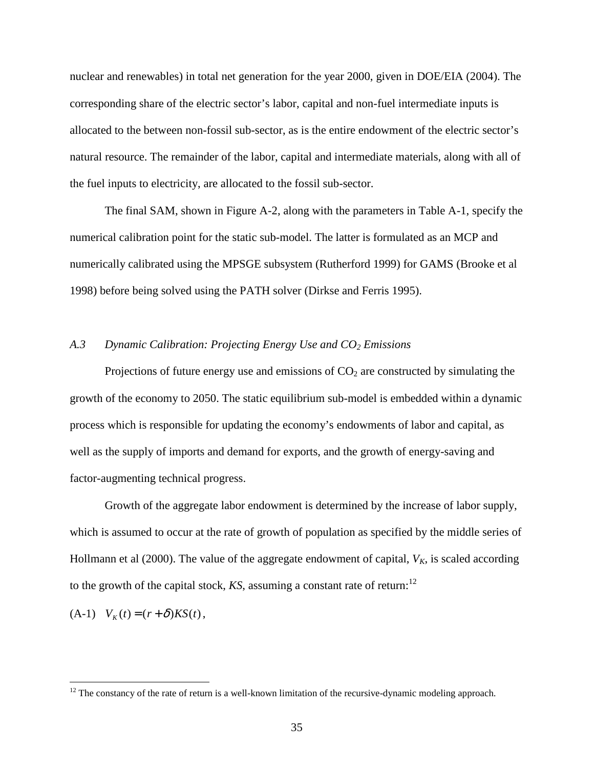nuclear and renewables) in total net generation for the year 2000, given in DOE/EIA (2004). The corresponding share of the electric sector's labor, capital and non-fuel intermediate inputs is allocated to the between non-fossil sub-sector, as is the entire endowment of the electric sector's natural resource. The remainder of the labor, capital and intermediate materials, along with all of the fuel inputs to electricity, are allocated to the fossil sub-sector.

The final SAM, shown in Figure A-2, along with the parameters in Table A-1, specify the numerical calibration point for the static sub-model. The latter is formulated as an MCP and numerically calibrated using the MPSGE subsystem (Rutherford 1999) for GAMS (Brooke et al 1998) before being solved using the PATH solver (Dirkse and Ferris 1995).

#### *A.3 Dynamic Calibration: Projecting Energy Use and CO2 Emissions*

Projections of future energy use and emissions of  $CO<sub>2</sub>$  are constructed by simulating the growth of the economy to 2050. The static equilibrium sub-model is embedded within a dynamic process which is responsible for updating the economy's endowments of labor and capital, as well as the supply of imports and demand for exports, and the growth of energy-saving and factor-augmenting technical progress.

Growth of the aggregate labor endowment is determined by the increase of labor supply, which is assumed to occur at the rate of growth of population as specified by the middle series of Hollmann et al (2000). The value of the aggregate endowment of capital,  $V_K$ , is scaled according to the growth of the capital stock,  $KS$ , assuming a constant rate of return:<sup>12</sup>

 $V_K(t) = (r + \delta)KS(t)$ ,

 $12$  The constancy of the rate of return is a well-known limitation of the recursive-dynamic modeling approach.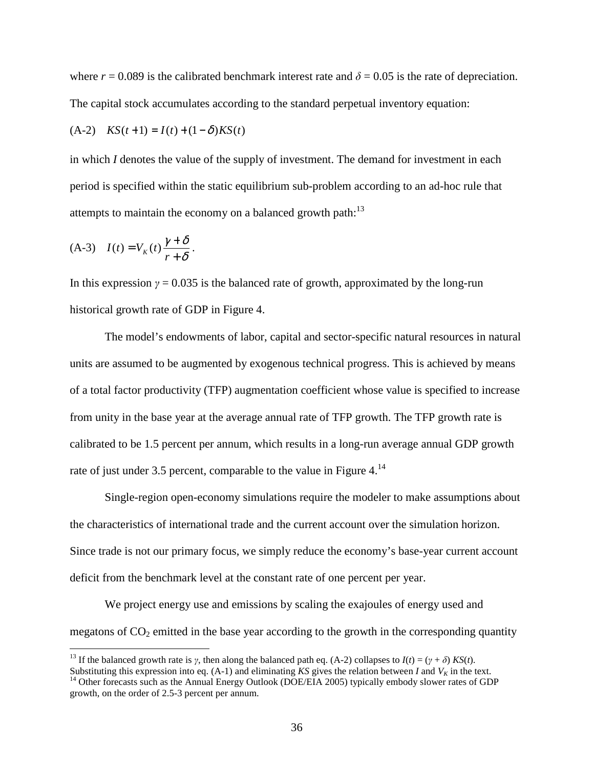where  $r = 0.089$  is the calibrated benchmark interest rate and  $\delta = 0.05$  is the rate of depreciation. The capital stock accumulates according to the standard perpetual inventory equation:

(A-2) 
$$
KS(t+1) = I(t) + (1 - \delta)KS(t)
$$

in which *I* denotes the value of the supply of investment. The demand for investment in each period is specified within the static equilibrium sub-problem according to an ad-hoc rule that attempts to maintain the economy on a balanced growth path: $^{13}$ 

$$
(A-3) \quad I(t) = V_K(t) \frac{\gamma + \delta}{r + \delta}.
$$

 $\overline{a}$ 

In this expression  $\gamma = 0.035$  is the balanced rate of growth, approximated by the long-run historical growth rate of GDP in Figure 4.

The model's endowments of labor, capital and sector-specific natural resources in natural units are assumed to be augmented by exogenous technical progress. This is achieved by means of a total factor productivity (TFP) augmentation coefficient whose value is specified to increase from unity in the base year at the average annual rate of TFP growth. The TFP growth rate is calibrated to be 1.5 percent per annum, which results in a long-run average annual GDP growth rate of just under 3.5 percent, comparable to the value in Figure  $4<sup>14</sup>$ .

Single-region open-economy simulations require the modeler to make assumptions about the characteristics of international trade and the current account over the simulation horizon. Since trade is not our primary focus, we simply reduce the economy's base-year current account deficit from the benchmark level at the constant rate of one percent per year.

We project energy use and emissions by scaling the exajoules of energy used and megatons of  $CO<sub>2</sub>$  emitted in the base year according to the growth in the corresponding quantity

<sup>&</sup>lt;sup>13</sup> If the balanced growth rate is *γ*, then along the balanced path eq. (A-2) collapses to  $I(t) = (γ + δ)$  *KS*(*t*).

Substituting this expression into eq.  $(A-1)$  and eliminating *KS* gives the relation between *I* and  $V_K$  in the text. <sup>14</sup> Other forecasts such as the Annual Energy Outlook (DOE/EIA 2005) typically embody slower rates of GDP growth, on the order of 2.5-3 percent per annum.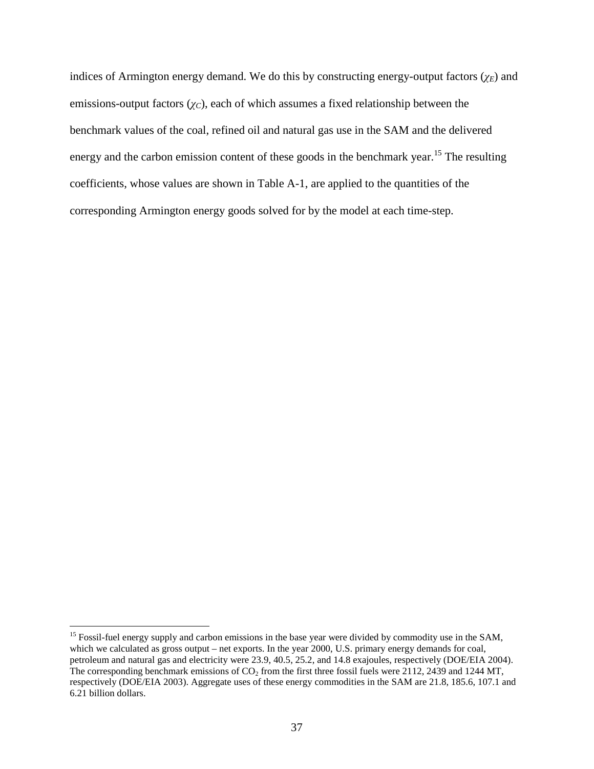indices of Armington energy demand. We do this by constructing energy-output factors  $(\chi_E)$  and emissions-output factors  $(\chi_C)$ , each of which assumes a fixed relationship between the benchmark values of the coal, refined oil and natural gas use in the SAM and the delivered energy and the carbon emission content of these goods in the benchmark year.<sup>15</sup> The resulting coefficients, whose values are shown in Table A-1, are applied to the quantities of the corresponding Armington energy goods solved for by the model at each time-step.

<sup>&</sup>lt;sup>15</sup> Fossil-fuel energy supply and carbon emissions in the base year were divided by commodity use in the SAM, which we calculated as gross output – net exports. In the year 2000, U.S. primary energy demands for coal, petroleum and natural gas and electricity were 23.9, 40.5, 25.2, and 14.8 exajoules, respectively (DOE/EIA 2004). The corresponding benchmark emissions of  $CO<sub>2</sub>$  from the first three fossil fuels were 2112, 2439 and 1244 MT, respectively (DOE/EIA 2003). Aggregate uses of these energy commodities in the SAM are 21.8, 185.6, 107.1 and 6.21 billion dollars.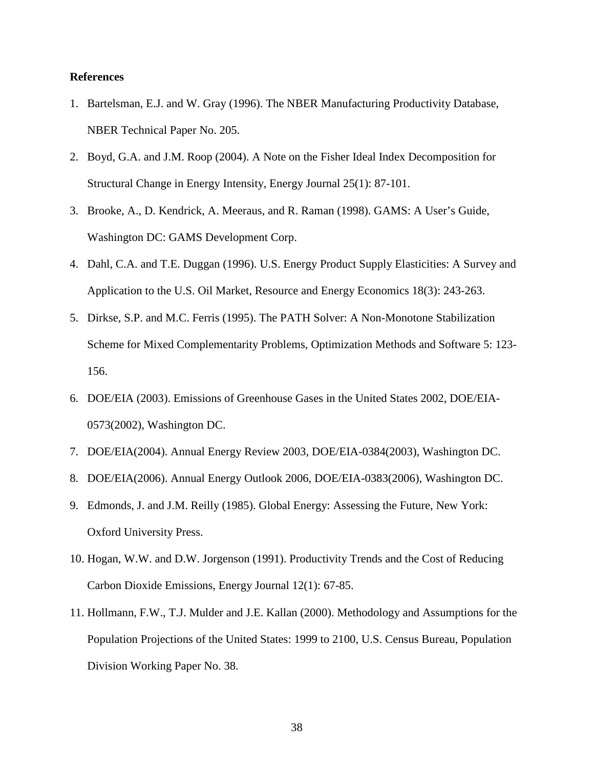#### **References**

- 1. Bartelsman, E.J. and W. Gray (1996). The NBER Manufacturing Productivity Database, NBER Technical Paper No. 205.
- 2. Boyd, G.A. and J.M. Roop (2004). A Note on the Fisher Ideal Index Decomposition for Structural Change in Energy Intensity, Energy Journal 25(1): 87-101.
- 3. Brooke, A., D. Kendrick, A. Meeraus, and R. Raman (1998). GAMS: A User's Guide, Washington DC: GAMS Development Corp.
- 4. Dahl, C.A. and T.E. Duggan (1996). U.S. Energy Product Supply Elasticities: A Survey and Application to the U.S. Oil Market, Resource and Energy Economics 18(3): 243-263.
- 5. Dirkse, S.P. and M.C. Ferris (1995). The PATH Solver: A Non-Monotone Stabilization Scheme for Mixed Complementarity Problems, Optimization Methods and Software 5: 123- 156.
- 6. DOE/EIA (2003). Emissions of Greenhouse Gases in the United States 2002, DOE/EIA-0573(2002), Washington DC.
- 7. DOE/EIA(2004). Annual Energy Review 2003, DOE/EIA-0384(2003), Washington DC.
- 8. DOE/EIA(2006). Annual Energy Outlook 2006, DOE/EIA-0383(2006), Washington DC.
- 9. Edmonds, J. and J.M. Reilly (1985). Global Energy: Assessing the Future, New York: Oxford University Press.
- 10. Hogan, W.W. and D.W. Jorgenson (1991). Productivity Trends and the Cost of Reducing Carbon Dioxide Emissions, Energy Journal 12(1): 67-85.
- 11. Hollmann, F.W., T.J. Mulder and J.E. Kallan (2000). Methodology and Assumptions for the Population Projections of the United States: 1999 to 2100, U.S. Census Bureau, Population Division Working Paper No. 38.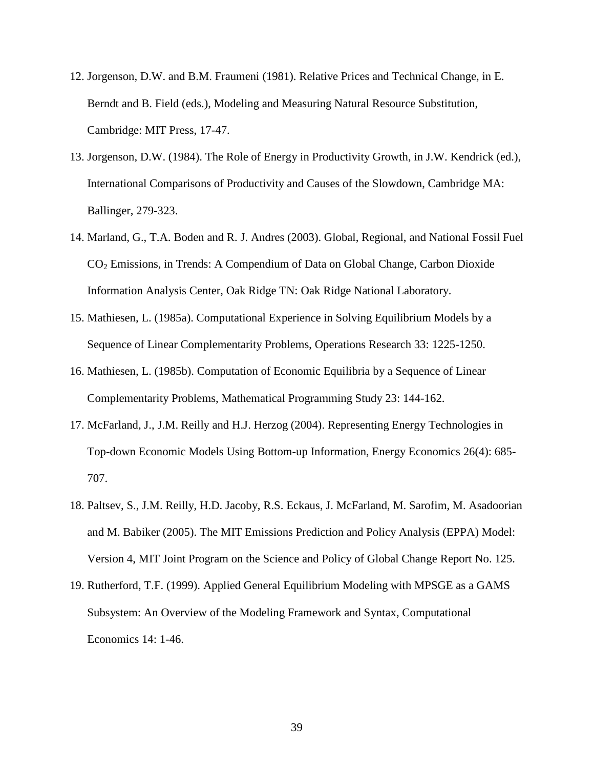- 12. Jorgenson, D.W. and B.M. Fraumeni (1981). Relative Prices and Technical Change, in E. Berndt and B. Field (eds.), Modeling and Measuring Natural Resource Substitution, Cambridge: MIT Press, 17-47.
- 13. Jorgenson, D.W. (1984). The Role of Energy in Productivity Growth, in J.W. Kendrick (ed.), International Comparisons of Productivity and Causes of the Slowdown, Cambridge MA: Ballinger, 279-323.
- 14. Marland, G., T.A. Boden and R. J. Andres (2003). Global, Regional, and National Fossil Fuel CO2 Emissions, in Trends: A Compendium of Data on Global Change, Carbon Dioxide Information Analysis Center, Oak Ridge TN: Oak Ridge National Laboratory.
- 15. Mathiesen, L. (1985a). Computational Experience in Solving Equilibrium Models by a Sequence of Linear Complementarity Problems, Operations Research 33: 1225-1250.
- 16. Mathiesen, L. (1985b). Computation of Economic Equilibria by a Sequence of Linear Complementarity Problems, Mathematical Programming Study 23: 144-162.
- 17. McFarland, J., J.M. Reilly and H.J. Herzog (2004). Representing Energy Technologies in Top-down Economic Models Using Bottom-up Information, Energy Economics 26(4): 685- 707.
- 18. Paltsev, S., J.M. Reilly, H.D. Jacoby, R.S. Eckaus, J. McFarland, M. Sarofim, M. Asadoorian and M. Babiker (2005). The MIT Emissions Prediction and Policy Analysis (EPPA) Model: Version 4, MIT Joint Program on the Science and Policy of Global Change Report No. 125.
- 19. Rutherford, T.F. (1999). Applied General Equilibrium Modeling with MPSGE as a GAMS Subsystem: An Overview of the Modeling Framework and Syntax, Computational Economics 14: 1-46.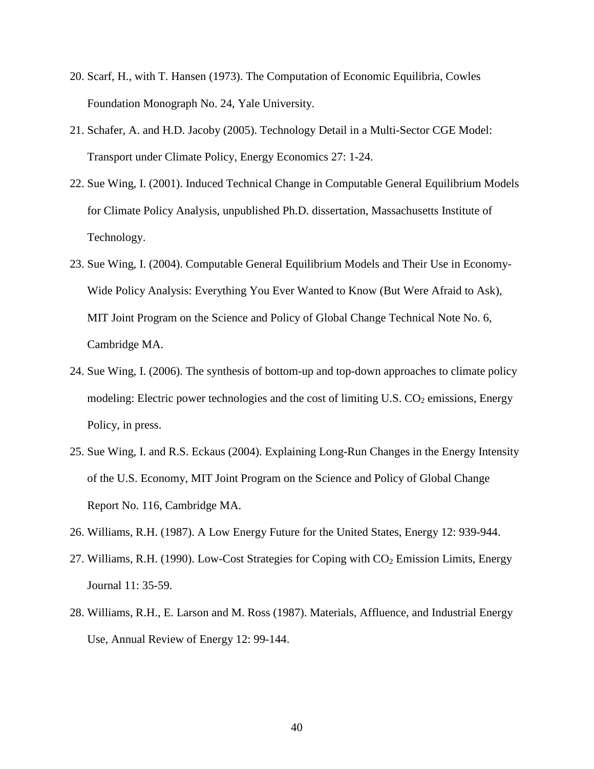- 20. Scarf, H., with T. Hansen (1973). The Computation of Economic Equilibria, Cowles Foundation Monograph No. 24, Yale University.
- 21. Schafer, A. and H.D. Jacoby (2005). Technology Detail in a Multi-Sector CGE Model: Transport under Climate Policy, Energy Economics 27: 1-24.
- 22. Sue Wing, I. (2001). Induced Technical Change in Computable General Equilibrium Models for Climate Policy Analysis, unpublished Ph.D. dissertation, Massachusetts Institute of Technology.
- 23. Sue Wing, I. (2004). Computable General Equilibrium Models and Their Use in Economy-Wide Policy Analysis: Everything You Ever Wanted to Know (But Were Afraid to Ask), MIT Joint Program on the Science and Policy of Global Change Technical Note No. 6, Cambridge MA.
- 24. Sue Wing, I. (2006). The synthesis of bottom-up and top-down approaches to climate policy modeling: Electric power technologies and the cost of limiting U.S.  $CO<sub>2</sub>$  emissions, Energy Policy, in press.
- 25. Sue Wing, I. and R.S. Eckaus (2004). Explaining Long-Run Changes in the Energy Intensity of the U.S. Economy, MIT Joint Program on the Science and Policy of Global Change Report No. 116, Cambridge MA.
- 26. Williams, R.H. (1987). A Low Energy Future for the United States, Energy 12: 939-944.
- 27. Williams, R.H. (1990). Low-Cost Strategies for Coping with  $CO<sub>2</sub>$  Emission Limits, Energy Journal 11: 35-59.
- 28. Williams, R.H., E. Larson and M. Ross (1987). Materials, Affluence, and Industrial Energy Use, Annual Review of Energy 12: 99-144.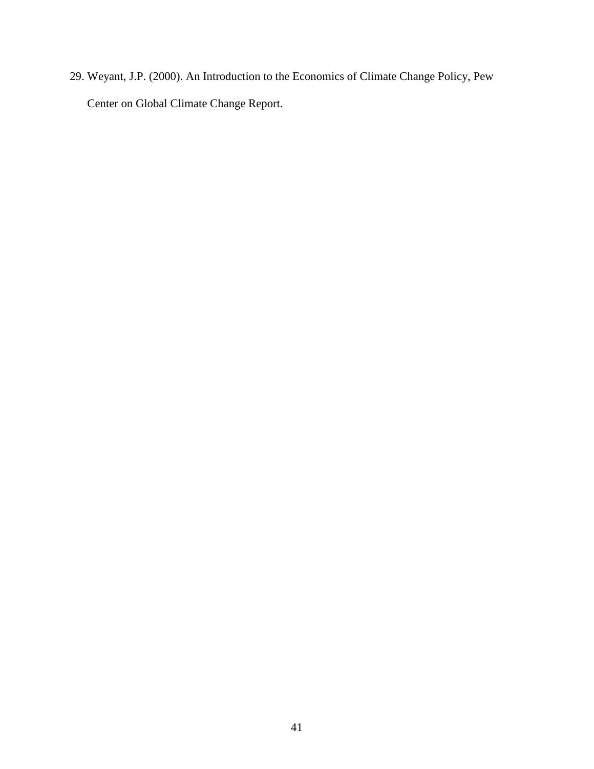29. Weyant, J.P. (2000). An Introduction to the Economics of Climate Change Policy, Pew Center on Global Climate Change Report.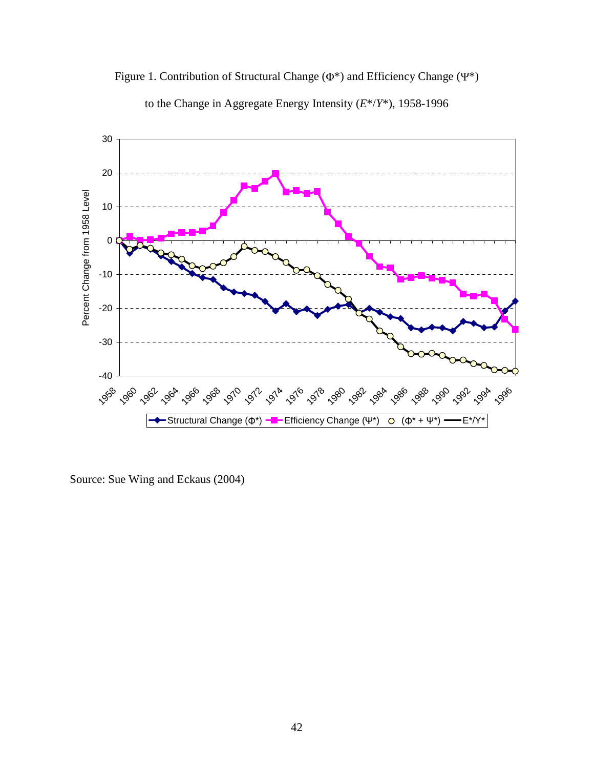



to the Change in Aggregate Energy Intensity (*E*\*/*Y*\*), 1958-1996

Source: Sue Wing and Eckaus (2004)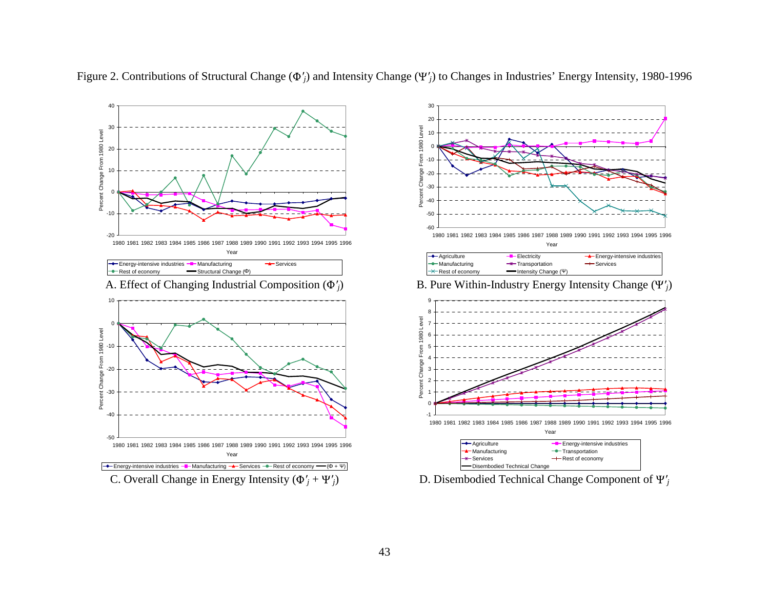



Figure 2. Contributions of Structural Change ( ′*j*) and Intensity Change ( ′*j*) to Changes in Industries' Energy Intensity, 1980-1996

D. Disembodied Technical Change Component of  $\Psi'$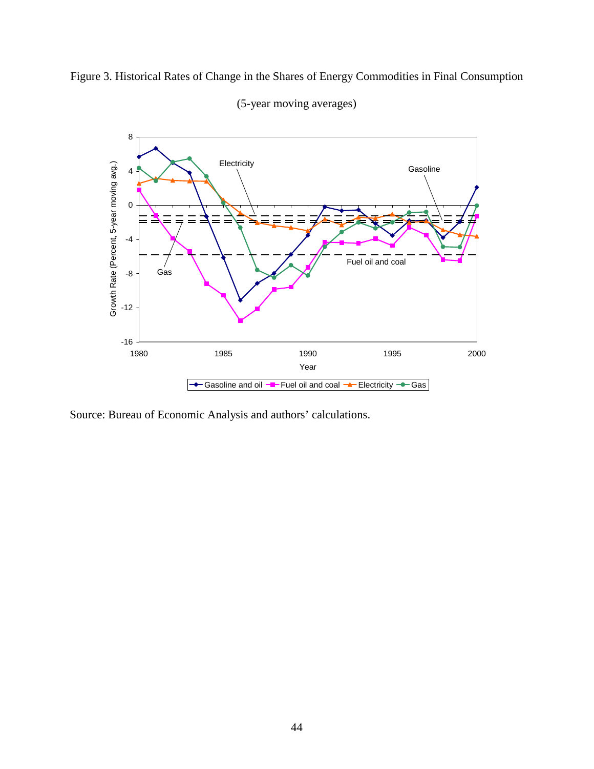



(5-year moving averages)

Source: Bureau of Economic Analysis and authors' calculations.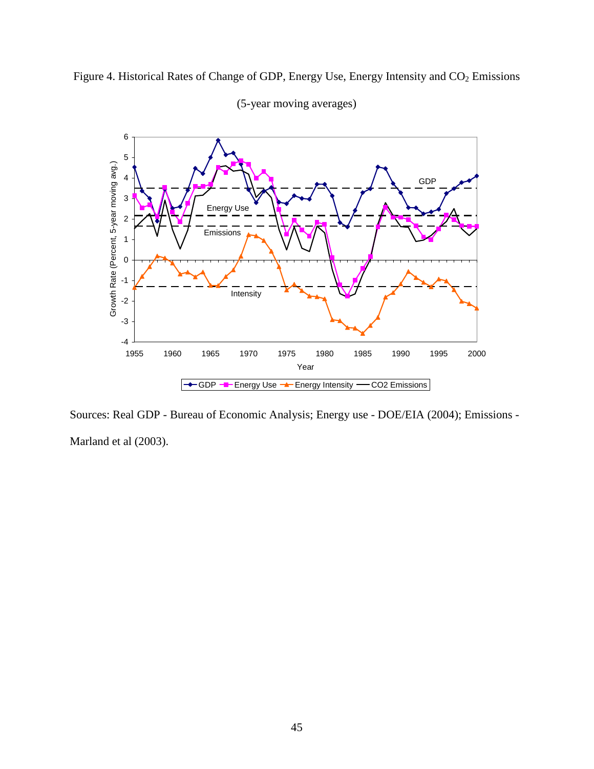

(5-year moving averages)

Figure 4. Historical Rates of Change of GDP, Energy Use, Energy Intensity and CO<sub>2</sub> Emissions

Sources: Real GDP - Bureau of Economic Analysis; Energy use - DOE/EIA (2004); Emissions - Marland et al (2003).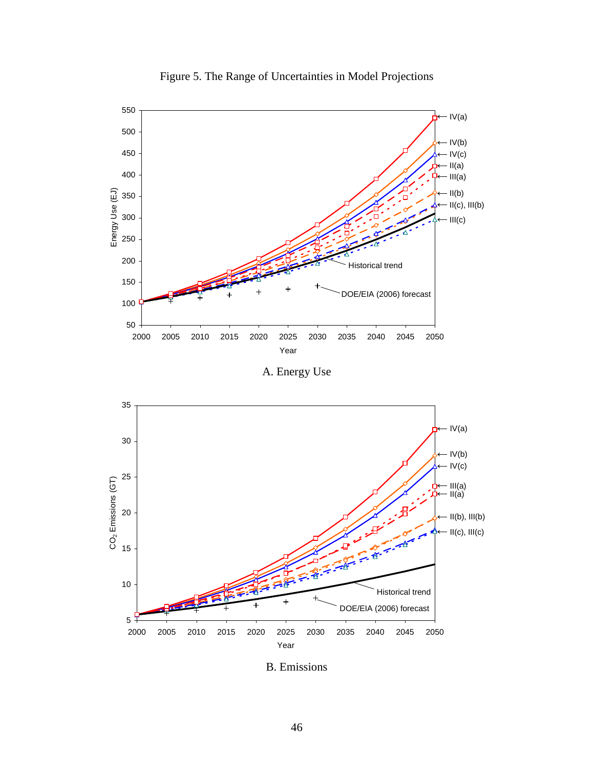

Figure 5. The Range of Uncertainties in Model Projections

A. Energy Use



B. Emissions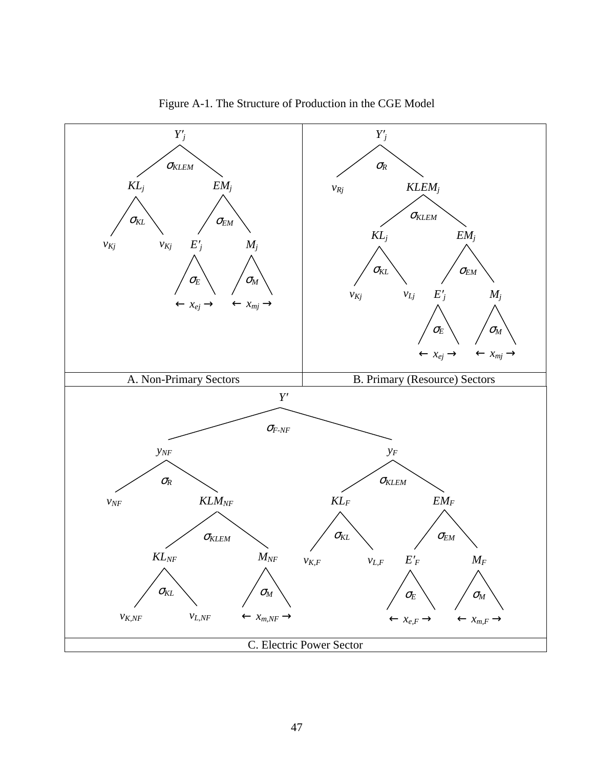

Figure A-1. The Structure of Production in the CGE Model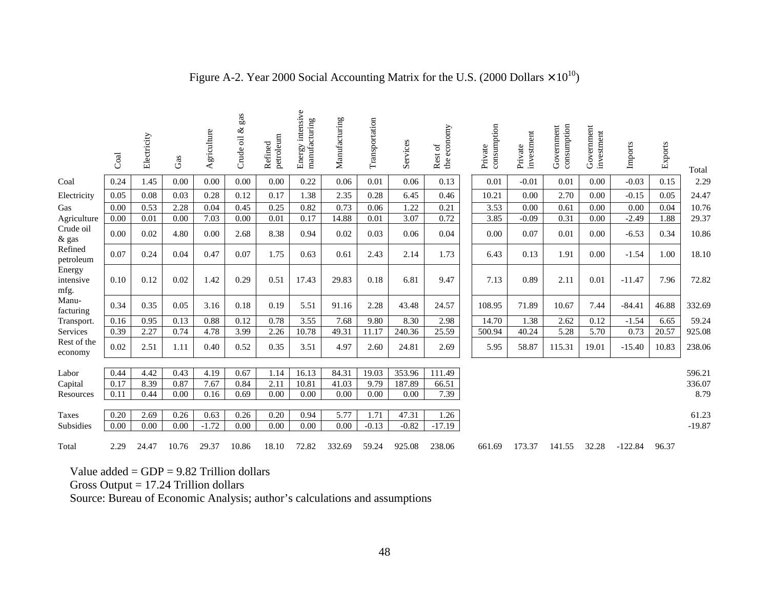|                             | Coal | Electricity | Gas   | Agriculture  | gas<br>ళ<br>Crude oil | petroleum<br>Refined | Energy intensive<br>manufacturing | Manufacturing | Transportation | Services | the economy<br>$\rm ^{of}$<br><b>Rest</b> | consumption<br>Private | investment<br>Private | consumption<br>Government | Government<br>investment | Imports   | Exports | Total            |
|-----------------------------|------|-------------|-------|--------------|-----------------------|----------------------|-----------------------------------|---------------|----------------|----------|-------------------------------------------|------------------------|-----------------------|---------------------------|--------------------------|-----------|---------|------------------|
| Coal                        | 0.24 | 1.45        | 0.00  | 0.00         | 0.00                  | 0.00                 | 0.22                              | 0.06          | 0.01           | 0.06     | 0.13                                      | 0.01                   | $-0.01$               | 0.01                      | 0.00                     | $-0.03$   | 0.15    | 2.29             |
| Electricity                 | 0.05 | 0.08        | 0.03  | 0.28         | 0.12                  | 0.17                 | 1.38                              | 2.35          | 0.28           | 6.45     | 0.46                                      | 10.21                  | 0.00                  | 2.70                      | 0.00                     | $-0.15$   | 0.05    | 24.47            |
| Gas                         | 0.00 | 0.53        | 2.28  | 0.04         | 0.45                  | 0.25                 | 0.82                              | 0.73          | 0.06           | 1.22     | 0.21                                      | 3.53                   | 0.00                  | 0.61                      | 0.00                     | 0.00      | 0.04    | 10.76            |
| Agriculture                 | 0.00 | 0.01        | 0.00  | 7.03         | 0.00                  | 0.01                 | 0.17                              | 14.88         | 0.01           | 3.07     | 0.72                                      | 3.85                   | $-0.09$               | 0.31                      | 0.00                     | $-2.49$   | 1.88    | 29.37            |
| Crude oil<br>& gas          | 0.00 | 0.02        | 4.80  | 0.00         | 2.68                  | 8.38                 | 0.94                              | 0.02          | 0.03           | 0.06     | 0.04                                      | 0.00                   | 0.07                  | 0.01                      | 0.00                     | $-6.53$   | 0.34    | 10.86            |
| Refined<br>petroleum        | 0.07 | 0.24        | 0.04  | 0.47         | 0.07                  | 1.75                 | 0.63                              | 0.61          | 2.43           | 2.14     | 1.73                                      | 6.43                   | 0.13                  | 1.91                      | 0.00                     | $-1.54$   | 1.00    | 18.10            |
| Energy<br>intensive<br>mfg. | 0.10 | 0.12        | 0.02  | 1.42         | 0.29                  | 0.51                 | 17.43                             | 29.83         | 0.18           | 6.81     | 9.47                                      | 7.13                   | 0.89                  | 2.11                      | 0.01                     | $-11.47$  | 7.96    | 72.82            |
| Manu-<br>facturing          | 0.34 | 0.35        | 0.05  | 3.16         | 0.18                  | 0.19                 | 5.51                              | 91.16         | 2.28           | 43.48    | 24.57                                     | 108.95                 | 71.89                 | 10.67                     | 7.44                     | $-84.41$  | 46.88   | 332.69           |
| Transport.                  | 0.16 | 0.95        | 0.13  | 0.88         | 0.12                  | 0.78                 | 3.55                              | 7.68          | 9.80           | 8.30     | 2.98                                      | 14.70                  | 1.38                  | 2.62                      | 0.12                     | $-1.54$   | 6.65    | 59.24            |
| Services                    | 0.39 | 2.27        | 0.74  | 4.78         | 3.99                  | 2.26                 | 10.78                             | 49.31         | 11.17          | 240.36   | 25.59                                     | 500.94                 | 40.24                 | 5.28                      | 5.70                     | 0.73      | 20.57   | 925.08           |
| Rest of the<br>economy      | 0.02 | 2.51        | 1.11  | 0.40         | 0.52                  | 0.35                 | 3.51                              | 4.97          | 2.60           | 24.81    | 2.69                                      | 5.95                   | 58.87                 | 115.31                    | 19.01                    | $-15.40$  | 10.83   | 238.06           |
|                             | 0.44 | 4.42        | 0.43  |              | 0.67                  | 1.14                 | 16.13                             | 84.31         | 19.03          | 353.96   |                                           |                        |                       |                           |                          |           |         |                  |
| Labor<br>Capital            | 0.17 | 8.39        | 0.87  | 4.19<br>7.67 | 0.84                  | 2.11                 | 10.81                             | 41.03         | 9.79           | 187.89   | 111.49<br>66.51                           |                        |                       |                           |                          |           |         | 596.21<br>336.07 |
| Resources                   | 0.11 | 0.44        | 0.00  | 0.16         | 0.69                  | 0.00                 | 0.00                              | 0.00          | 0.00           | 0.00     | 7.39                                      |                        |                       |                           |                          |           |         | 8.79             |
|                             |      |             |       |              |                       |                      |                                   |               |                |          |                                           |                        |                       |                           |                          |           |         |                  |
| <b>Taxes</b>                | 0.20 | 2.69        | 0.26  | 0.63         | 0.26                  | 0.20                 | 0.94                              | 5.77          | 1.71           | 47.31    | 1.26                                      |                        |                       |                           |                          |           |         | 61.23            |
| Subsidies                   | 0.00 | 0.00        | 0.00  | $-1.72$      | 0.00                  | 0.00                 | 0.00                              | 0.00          | $-0.13$        | $-0.82$  | $-17.19$                                  |                        |                       |                           |                          |           |         | $-19.87$         |
| Total                       | 2.29 | 24.47       | 10.76 | 29.37        | 10.86                 | 18.10                | 72.82                             | 332.69        | 59.24          | 925.08   | 238.06                                    | 661.69                 | 173.37                | 141.55                    | 32.28                    | $-122.84$ | 96.37   |                  |

# Figure A-2. Year 2000 Social Accounting Matrix for the U.S. (2000 Dollars  $\times 10^{10}$ )

Value added  $=$  GDP  $=$  9.82 Trillion dollars

Gross Output = 17.24 Trillion dollars

Source: Bureau of Economic Analysis; author's calculations and assumptions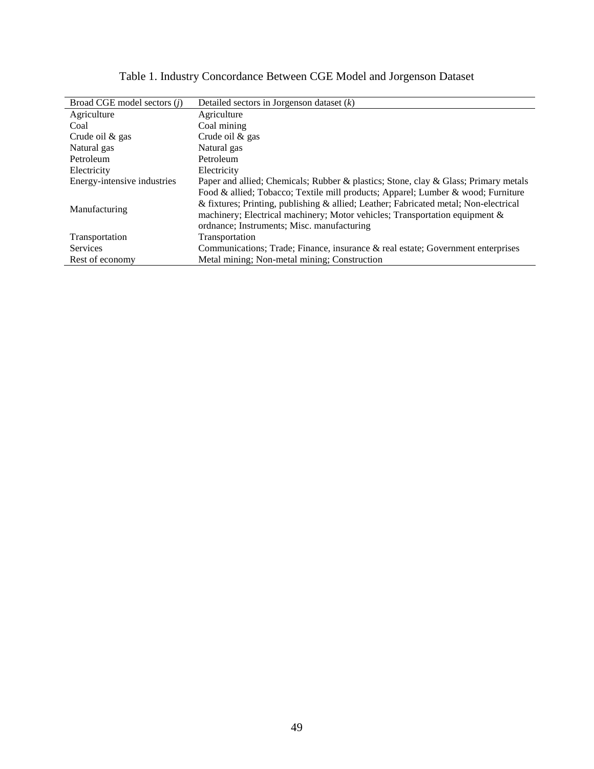| Broad CGE model sectors ( <i>i</i> ) | Detailed sectors in Jorgenson dataset $(k)$                                          |
|--------------------------------------|--------------------------------------------------------------------------------------|
| Agriculture                          | Agriculture                                                                          |
| Coal                                 | Coal mining                                                                          |
| Crude oil $&$ gas                    | Crude oil & gas                                                                      |
| Natural gas                          | Natural gas                                                                          |
| Petroleum                            | Petroleum                                                                            |
| Electricity                          | Electricity                                                                          |
| Energy-intensive industries          | Paper and allied; Chemicals; Rubber & plastics; Stone, clay & Glass; Primary metals  |
|                                      | Food & allied; Tobacco; Textile mill products; Apparel; Lumber & wood; Furniture     |
| Manufacturing                        | & fixtures; Printing, publishing & allied; Leather; Fabricated metal; Non-electrical |
|                                      | machinery; Electrical machinery; Motor vehicles; Transportation equipment $\&$       |
|                                      | ordnance; Instruments; Misc. manufacturing                                           |
| Transportation                       | Transportation                                                                       |
| Services                             | Communications; Trade; Finance, insurance & real estate; Government enterprises      |
| Rest of economy                      | Metal mining; Non-metal mining; Construction                                         |

# Table 1. Industry Concordance Between CGE Model and Jorgenson Dataset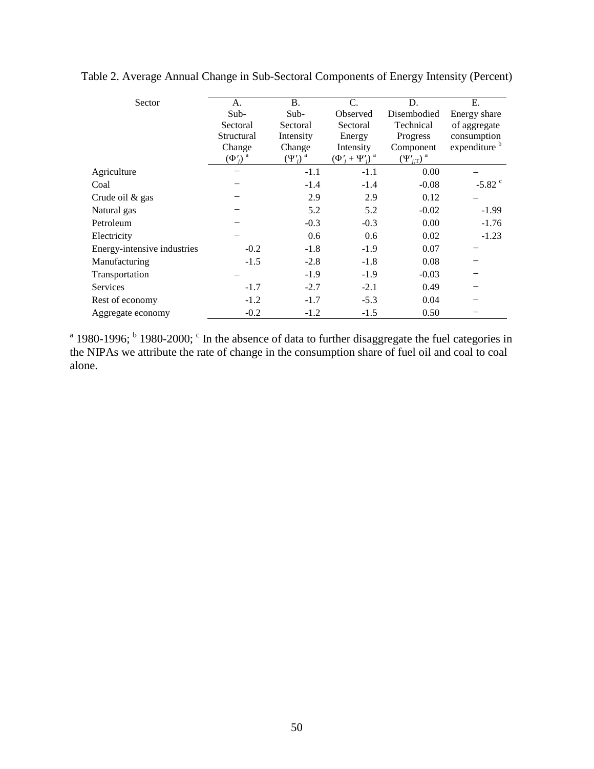| Sector                      | A.            | <b>B.</b>     | $C_{\cdot}$             | D.                         | Ε.                       |
|-----------------------------|---------------|---------------|-------------------------|----------------------------|--------------------------|
|                             | Sub-          | Sub-          | Observed                | Disembodied                | Energy share             |
|                             | Sectoral      | Sectoral      | Sectoral                | Technical                  | of aggregate             |
|                             | Structural    | Intensity     | Energy                  | Progress                   | consumption              |
|                             | Change        | Change        | Intensity               | Component                  | expenditure <sup>b</sup> |
|                             | $(\Phi'_i)^a$ | $(\Psi'_i)^a$ | $(\Phi'_i + \Psi'_i)^a$ | $(\Psi_{i,T}')^{\text{a}}$ |                          |
| Agriculture                 |               | $-1.1$        | $-1.1$                  | 0.00                       |                          |
| Coal                        |               | $-1.4$        | $-1.4$                  | $-0.08$                    | $-5.82$ °                |
| Crude oil & gas             |               | 2.9           | 2.9                     | 0.12                       |                          |
| Natural gas                 |               | 5.2           | 5.2                     | $-0.02$                    | $-1.99$                  |
| Petroleum                   |               | $-0.3$        | $-0.3$                  | 0.00                       | $-1.76$                  |
| Electricity                 |               | 0.6           | 0.6                     | 0.02                       | $-1.23$                  |
| Energy-intensive industries | $-0.2$        | $-1.8$        | $-1.9$                  | 0.07                       |                          |
| Manufacturing               | $-1.5$        | $-2.8$        | $-1.8$                  | 0.08                       |                          |
| Transportation              |               | $-1.9$        | $-1.9$                  | $-0.03$                    |                          |
| <b>Services</b>             | $-1.7$        | $-2.7$        | $-2.1$                  | 0.49                       |                          |
| Rest of economy             | $-1.2$        | $-1.7$        | $-5.3$                  | 0.04                       |                          |
| Aggregate economy           | $-0.2$        | $-1.2$        | $-1.5$                  | 0.50                       |                          |

Table 2. Average Annual Change in Sub-Sectoral Components of Energy Intensity (Percent)

<sup>a</sup> 1980-1996; <sup>b</sup> 1980-2000;  $\textdegree$  In the absence of data to further disaggregate the fuel categories in the NIPAs we attribute the rate of change in the consumption share of fuel oil and coal to coal alone.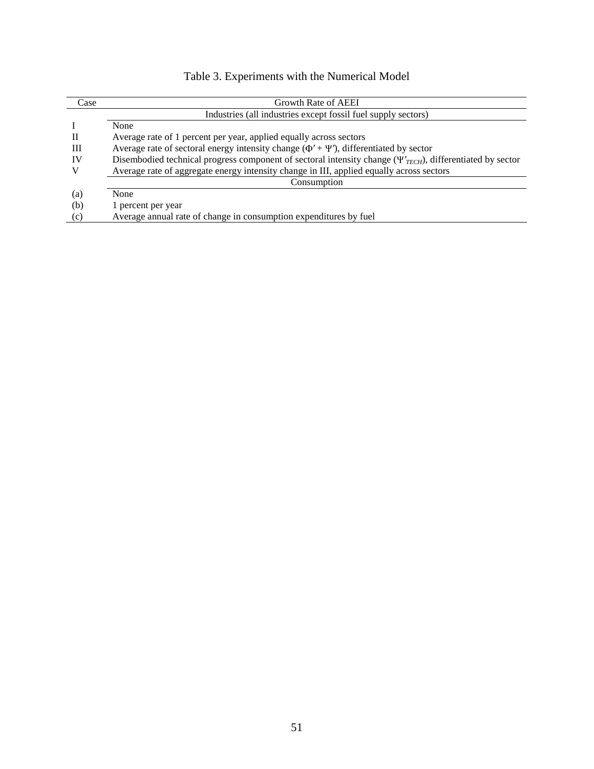|  | Table 3. Experiments with the Numerical Model |  |  |  |
|--|-----------------------------------------------|--|--|--|
|--|-----------------------------------------------|--|--|--|

| Case | Growth Rate of AEEI                                                                                               |
|------|-------------------------------------------------------------------------------------------------------------------|
|      | Industries (all industries except fossil fuel supply sectors)                                                     |
|      | None                                                                                                              |
| Н    | Average rate of 1 percent per year, applied equally across sectors                                                |
| Ш    | Average rate of sectoral energy intensity change $(\Phi' + \Psi')$ , differentiated by sector                     |
| IV   | Disembodied technical progress component of sectoral intensity change $(\Psi'_{TECH})$ , differentiated by sector |
|      | Average rate of aggregate energy intensity change in III, applied equally across sectors                          |
|      | Consumption                                                                                                       |
| (a)  | None                                                                                                              |
| (b)  | 1 percent per year                                                                                                |
| (c)  | Average annual rate of change in consumption expenditures by fuel                                                 |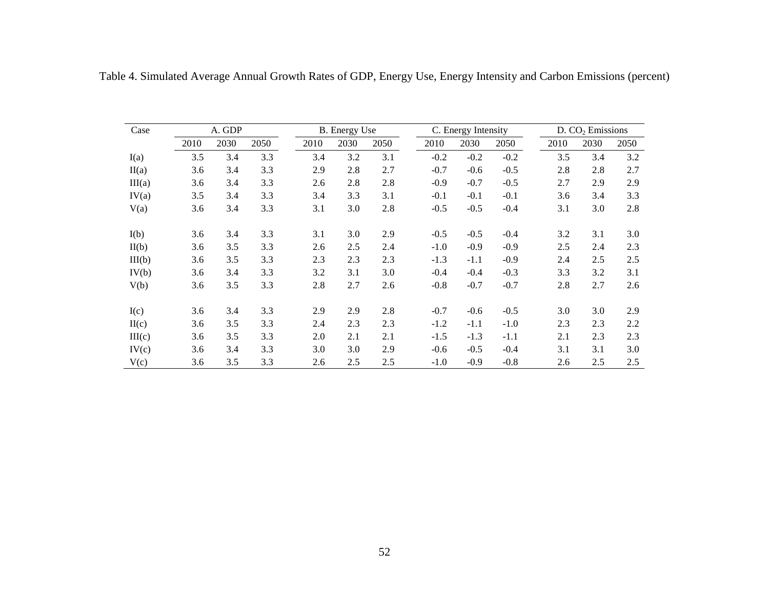| Case   | A. GDP |      |      |      | <b>B.</b> Energy Use |      |        | C. Energy Intensity |        |      | D. CO <sub>2</sub> Emissions |      |  |  |
|--------|--------|------|------|------|----------------------|------|--------|---------------------|--------|------|------------------------------|------|--|--|
|        | 2010   | 2030 | 2050 | 2010 | 2030                 | 2050 | 2010   | 2030                | 2050   | 2010 | 2030                         | 2050 |  |  |
| I(a)   | 3.5    | 3.4  | 3.3  | 3.4  | 3.2                  | 3.1  | $-0.2$ | $-0.2$              | $-0.2$ | 3.5  | 3.4                          | 3.2  |  |  |
| II(a)  | 3.6    | 3.4  | 3.3  | 2.9  | 2.8                  | 2.7  | $-0.7$ | $-0.6$              | $-0.5$ | 2.8  | 2.8                          | 2.7  |  |  |
| III(a) | 3.6    | 3.4  | 3.3  | 2.6  | 2.8                  | 2.8  | $-0.9$ | $-0.7$              | $-0.5$ | 2.7  | 2.9                          | 2.9  |  |  |
| IV(a)  | 3.5    | 3.4  | 3.3  | 3.4  | 3.3                  | 3.1  | $-0.1$ | $-0.1$              | $-0.1$ | 3.6  | 3.4                          | 3.3  |  |  |
| V(a)   | 3.6    | 3.4  | 3.3  | 3.1  | 3.0                  | 2.8  | $-0.5$ | $-0.5$              | $-0.4$ | 3.1  | 3.0                          | 2.8  |  |  |
| I(b)   | 3.6    | 3.4  | 3.3  | 3.1  | 3.0                  | 2.9  | $-0.5$ | $-0.5$              | $-0.4$ | 3.2  | 3.1                          | 3.0  |  |  |
| II(b)  | 3.6    | 3.5  | 3.3  | 2.6  | 2.5                  | 2.4  | $-1.0$ | $-0.9$              | $-0.9$ | 2.5  | 2.4                          | 2.3  |  |  |
| III(b) | 3.6    | 3.5  | 3.3  | 2.3  | 2.3                  | 2.3  | $-1.3$ | $-1.1$              | $-0.9$ | 2.4  | 2.5                          | 2.5  |  |  |
| IV(b)  | 3.6    | 3.4  | 3.3  | 3.2  | 3.1                  | 3.0  | $-0.4$ | $-0.4$              | $-0.3$ | 3.3  | 3.2                          | 3.1  |  |  |
| V(b)   | 3.6    | 3.5  | 3.3  | 2.8  | 2.7                  | 2.6  | $-0.8$ | $-0.7$              | $-0.7$ | 2.8  | 2.7                          | 2.6  |  |  |
| I(c)   | 3.6    | 3.4  | 3.3  | 2.9  | 2.9                  | 2.8  | $-0.7$ | $-0.6$              | $-0.5$ | 3.0  | 3.0                          | 2.9  |  |  |
| II(c)  | 3.6    | 3.5  | 3.3  | 2.4  | 2.3                  | 2.3  | $-1.2$ | $-1.1$              | $-1.0$ | 2.3  | 2.3                          | 2.2  |  |  |
| III(c) | 3.6    | 3.5  | 3.3  | 2.0  | 2.1                  | 2.1  | $-1.5$ | $-1.3$              | $-1.1$ | 2.1  | 2.3                          | 2.3  |  |  |
| IV(c)  | 3.6    | 3.4  | 3.3  | 3.0  | 3.0                  | 2.9  | $-0.6$ | $-0.5$              | $-0.4$ | 3.1  | 3.1                          | 3.0  |  |  |
| V(c)   | 3.6    | 3.5  | 3.3  | 2.6  | 2.5                  | 2.5  | $-1.0$ | $-0.9$              | $-0.8$ | 2.6  | 2.5                          | 2.5  |  |  |

Table 4. Simulated Average Annual Growth Rates of GDP, Energy Use, Energy Intensity and Carbon Emissions (percent)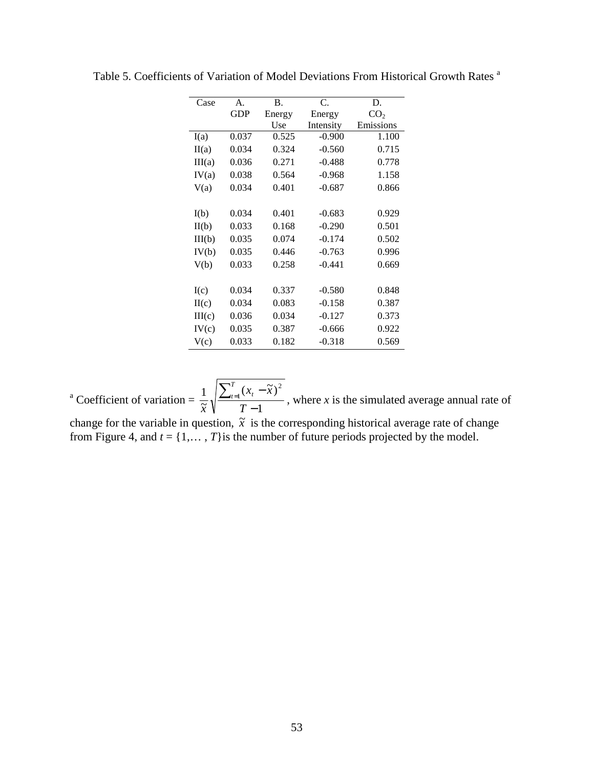| Case   | A.         | <b>B.</b> | C.        | D.              |
|--------|------------|-----------|-----------|-----------------|
|        | <b>GDP</b> | Energy    | Energy    | CO <sub>2</sub> |
|        |            | Use       | Intensity | Emissions       |
| I(a)   | 0.037      | 0.525     | $-0.900$  | 1.100           |
| II(a)  | 0.034      | 0.324     | $-0.560$  | 0.715           |
| III(a) | 0.036      | 0.271     | $-0.488$  | 0.778           |
| IV(a)  | 0.038      | 0.564     | $-0.968$  | 1.158           |
| V(a)   | 0.034      | 0.401     | $-0.687$  | 0.866           |
|        |            |           |           |                 |
| I(b)   | 0.034      | 0.401     | $-0.683$  | 0.929           |
| II(b)  | 0.033      | 0.168     | $-0.290$  | 0.501           |
| III(b) | 0.035      | 0.074     | $-0.174$  | 0.502           |
| IV(b)  | 0.035      | 0.446     | $-0.763$  | 0.996           |
| V(b)   | 0.033      | 0.258     | $-0.441$  | 0.669           |
|        |            |           |           |                 |
| I(c)   | 0.034      | 0.337     | $-0.580$  | 0.848           |
| H(c)   | 0.034      | 0.083     | $-0.158$  | 0.387           |
| III(c) | 0.036      | 0.034     | $-0.127$  | 0.373           |
| IV(c)  | 0.035      | 0.387     | $-0.666$  | 0.922           |
| V(c)   | 0.033      | 0.182     | $-0.318$  | 0.569           |

Table 5. Coefficients of Variation of Model Deviations From Historical Growth Rates <sup>a</sup>

<sup>a</sup> Coefficient of variation = 1  $(x_t - \tilde{x})$  $\overline{\widetilde{\mathbf{r}}}$  $1\left[\sum_{t=1}^{T}(x_t - \tilde{x})^2\right]$ −  $\sum_{t=1}^{T} (x_t -$ *T*  $x_{t} - \tilde{x}$ *x T*  $\frac{t-1}{t}$   $\frac{t}{t}$ , where *x* is the simulated average annual rate of change for the variable in question,  $\tilde{x}$  is the corresponding historical average rate of change from Figure 4, and  $t = \{1, \ldots, T\}$  is the number of future periods projected by the model.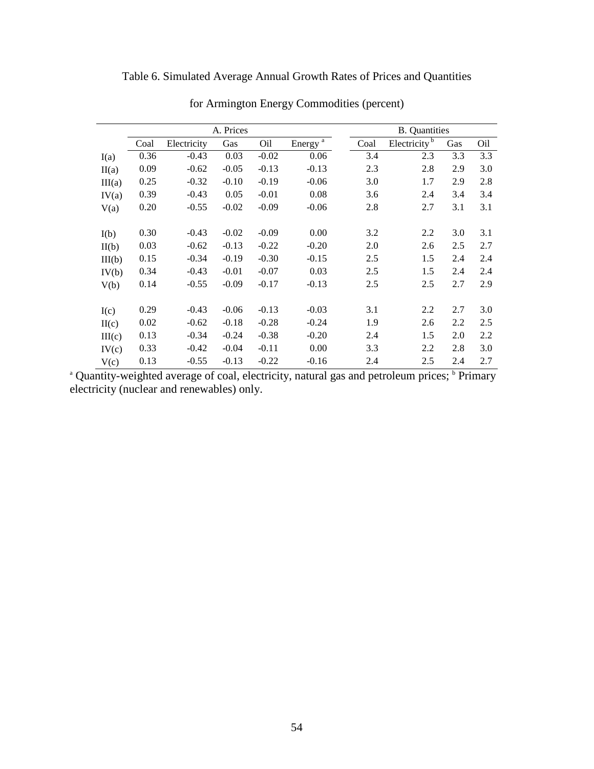| Table 6. Simulated Average Annual Growth Rates of Prices and Quantities |  |  |
|-------------------------------------------------------------------------|--|--|
|                                                                         |  |  |

|        |      |             | A. Prices | <b>B.</b> Quantities |                     |      |                            |     |     |
|--------|------|-------------|-----------|----------------------|---------------------|------|----------------------------|-----|-----|
|        | Coal | Electricity | Gas       | O <sub>il</sub>      | Energy <sup>a</sup> | Coal | Electricity $\overline{b}$ | Gas | Oil |
| I(a)   | 0.36 | $-0.43$     | 0.03      | $-0.02$              | 0.06                | 3.4  | 2.3                        | 3.3 | 3.3 |
| II(a)  | 0.09 | $-0.62$     | $-0.05$   | $-0.13$              | $-0.13$             | 2.3  | 2.8                        | 2.9 | 3.0 |
| III(a) | 0.25 | $-0.32$     | $-0.10$   | $-0.19$              | $-0.06$             | 3.0  | 1.7                        | 2.9 | 2.8 |
| IV(a)  | 0.39 | $-0.43$     | 0.05      | $-0.01$              | 0.08                | 3.6  | 2.4                        | 3.4 | 3.4 |
| V(a)   | 0.20 | $-0.55$     | $-0.02$   | $-0.09$              | $-0.06$             | 2.8  | 2.7                        | 3.1 | 3.1 |
|        |      |             |           |                      |                     |      |                            |     |     |
| I(b)   | 0.30 | $-0.43$     | $-0.02$   | $-0.09$              | 0.00                | 3.2  | 2.2                        | 3.0 | 3.1 |
| II(b)  | 0.03 | $-0.62$     | $-0.13$   | $-0.22$              | $-0.20$             | 2.0  | 2.6                        | 2.5 | 2.7 |
| III(b) | 0.15 | $-0.34$     | $-0.19$   | $-0.30$              | $-0.15$             | 2.5  | 1.5                        | 2.4 | 2.4 |
| IV(b)  | 0.34 | $-0.43$     | $-0.01$   | $-0.07$              | 0.03                | 2.5  | 1.5                        | 2.4 | 2.4 |
| V(b)   | 0.14 | $-0.55$     | $-0.09$   | $-0.17$              | $-0.13$             | 2.5  | 2.5                        | 2.7 | 2.9 |
|        |      |             |           |                      |                     |      |                            |     |     |
| I(c)   | 0.29 | $-0.43$     | $-0.06$   | $-0.13$              | $-0.03$             | 3.1  | 2.2                        | 2.7 | 3.0 |
| II(c)  | 0.02 | $-0.62$     | $-0.18$   | $-0.28$              | $-0.24$             | 1.9  | 2.6                        | 2.2 | 2.5 |
| III(c) | 0.13 | $-0.34$     | $-0.24$   | $-0.38$              | $-0.20$             | 2.4  | 1.5                        | 2.0 | 2.2 |
| IV(c)  | 0.33 | $-0.42$     | $-0.04$   | $-0.11$              | 0.00                | 3.3  | 2.2                        | 2.8 | 3.0 |
| V(c)   | 0.13 | $-0.55$     | $-0.13$   | $-0.22$              | $-0.16$             | 2.4  | 2.5                        | 2.4 | 2.7 |

for Armington Energy Commodities (percent)

<sup>a</sup> Quantity-weighted average of coal, electricity, natural gas and petroleum prices; <sup>b</sup> Primary electricity (nuclear and renewables) only.